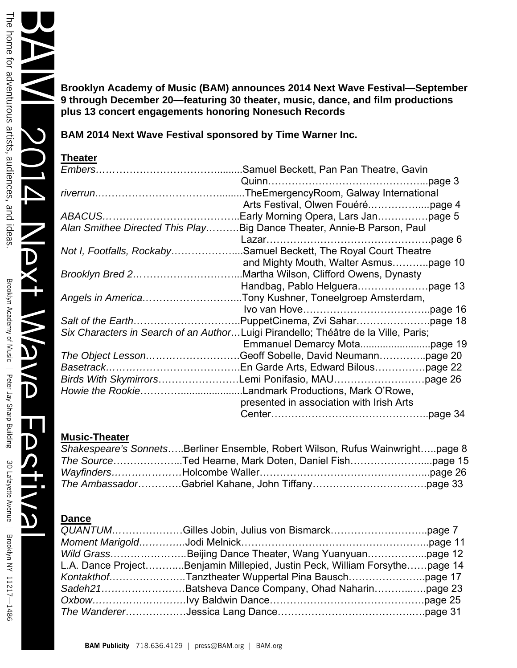**Brooklyn Academy of Music (BAM) announces 2014 Next Wave Festival—September 9 through December 20—featuring 30 theater, music, dance, and film productions plus 13 concert engagements honoring Nonesuch Records** 

**BAM 2014 Next Wave Festival sponsored by Time Warner Inc.** 

# **Theater**

|                                                                                    | Alan Smithee Directed This PlayBig Dance Theater, Annie-B Parson, Paul |  |
|------------------------------------------------------------------------------------|------------------------------------------------------------------------|--|
|                                                                                    |                                                                        |  |
|                                                                                    | Not I, Footfalls, RockabySamuel Beckett, The Royal Court Theatre       |  |
|                                                                                    |                                                                        |  |
|                                                                                    |                                                                        |  |
|                                                                                    |                                                                        |  |
|                                                                                    | Angels in AmericaTony Kushner, Toneelgroep Amsterdam,                  |  |
|                                                                                    |                                                                        |  |
|                                                                                    |                                                                        |  |
| Six Characters in Search of an AuthorLuigi Pirandello; Théâtre de la Ville, Paris; |                                                                        |  |
|                                                                                    |                                                                        |  |
|                                                                                    |                                                                        |  |
|                                                                                    |                                                                        |  |
|                                                                                    | Birds With SkymirrorsLemi Ponifasio, MAUpage 26                        |  |
|                                                                                    |                                                                        |  |
|                                                                                    | presented in association with Irish Arts                               |  |
|                                                                                    |                                                                        |  |

# **Music-Theater**

| Shakespeare's SonnetsBerliner Ensemble, Robert Wilson, Rufus Wainwrightpage 8 |  |
|-------------------------------------------------------------------------------|--|
|                                                                               |  |
|                                                                               |  |
|                                                                               |  |

# **Dance**

| L.A. Dance ProjectBenjamin Millepied, Justin Peck, William Forsythepage 14 |  |
|----------------------------------------------------------------------------|--|
|                                                                            |  |
| Sadeh21Batsheva Dance Company, Ohad Naharinpage 23                         |  |
|                                                                            |  |
|                                                                            |  |

 $\boldsymbol{D}$ 

 $\overline{\mathbf{D}}$ 

U

 $\mathbf D$ 

**N**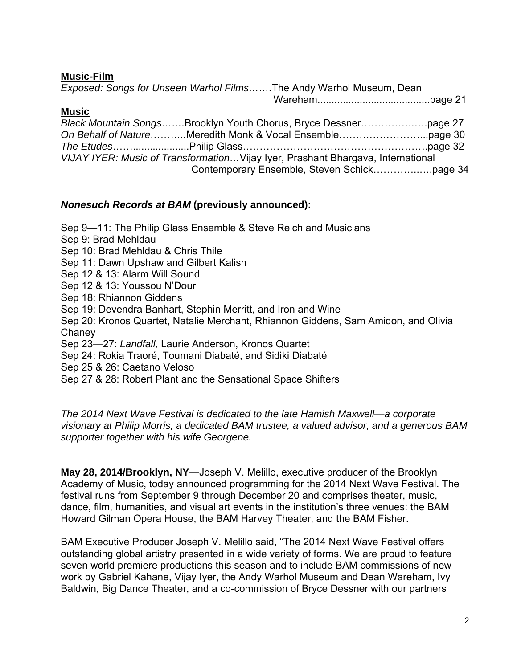**Music-Film** 

| Exposed: Songs for Unseen Warhol FilmsThe Andy Warhol Museum, Dean               |  |  |
|----------------------------------------------------------------------------------|--|--|
|                                                                                  |  |  |
| <b>Music</b>                                                                     |  |  |
| Black Mountain SongsBrooklyn Youth Chorus, Bryce Dessnerpage 27                  |  |  |
|                                                                                  |  |  |
|                                                                                  |  |  |
| VIJAY IYER: Music of Transformation Vijay Iyer, Prashant Bhargava, International |  |  |

Contemporary Ensemble, Steven Schick…………..….page 34

### *Nonesuch Records at BAM* **(previously announced):**

Sep 9—11: The Philip Glass Ensemble & Steve Reich and Musicians Sep 9: Brad Mehldau Sep 10: Brad Mehldau & Chris Thile Sep 11: Dawn Upshaw and Gilbert Kalish Sep 12 & 13: Alarm Will Sound Sep 12 & 13: Youssou N'Dour Sep 18: Rhiannon Giddens Sep 19: Devendra Banhart, Stephin Merritt, and Iron and Wine Sep 20: Kronos Quartet, Natalie Merchant, Rhiannon Giddens, Sam Amidon, and Olivia **Chaney** Sep 23—27: *Landfall,* Laurie Anderson, Kronos Quartet Sep 24: Rokia Traoré, Toumani Diabaté, and Sidiki Diabaté Sep 25 & 26: Caetano Veloso Sep 27 & 28: Robert Plant and the Sensational Space Shifters

*The 2014 Next Wave Festival is dedicated to the late Hamish Maxwell—a corporate visionary at Philip Morris, a dedicated BAM trustee, a valued advisor, and a generous BAM supporter together with his wife Georgene.* 

**May 28, 2014/Brooklyn, NY**—Joseph V. Melillo, executive producer of the Brooklyn Academy of Music, today announced programming for the 2014 Next Wave Festival. The festival runs from September 9 through December 20 and comprises theater, music, dance, film, humanities, and visual art events in the institution's three venues: the BAM Howard Gilman Opera House, the BAM Harvey Theater, and the BAM Fisher.

BAM Executive Producer Joseph V. Melillo said, "The 2014 Next Wave Festival offers outstanding global artistry presented in a wide variety of forms. We are proud to feature seven world premiere productions this season and to include BAM commissions of new work by Gabriel Kahane, Vijay Iyer, the Andy Warhol Museum and Dean Wareham, Ivy Baldwin, Big Dance Theater, and a co-commission of Bryce Dessner with our partners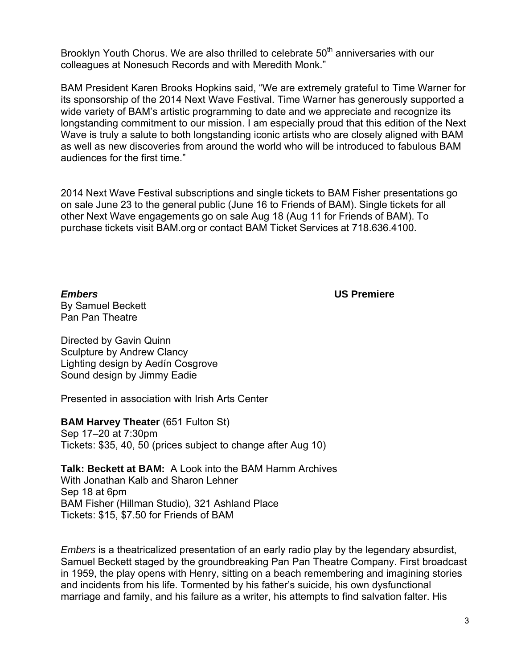Brooklyn Youth Chorus. We are also thrilled to celebrate 50<sup>th</sup> anniversaries with our colleagues at Nonesuch Records and with Meredith Monk."

BAM President Karen Brooks Hopkins said, "We are extremely grateful to Time Warner for its sponsorship of the 2014 Next Wave Festival. Time Warner has generously supported a wide variety of BAM's artistic programming to date and we appreciate and recognize its longstanding commitment to our mission. I am especially proud that this edition of the Next Wave is truly a salute to both longstanding iconic artists who are closely aligned with BAM as well as new discoveries from around the world who will be introduced to fabulous BAM audiences for the first time."

2014 Next Wave Festival subscriptions and single tickets to BAM Fisher presentations go on sale June 23 to the general public (June 16 to Friends of BAM). Single tickets for all other Next Wave engagements go on sale Aug 18 (Aug 11 for Friends of BAM). To purchase tickets visit BAM.org or contact BAM Ticket Services at 718.636.4100.

*Embers* **US Premiere** By Samuel Beckett Pan Pan Theatre

Directed by Gavin Quinn Sculpture by Andrew Clancy Lighting design by Aedín Cosgrove Sound design by Jimmy Eadie

Presented in association with Irish Arts Center

**BAM Harvey Theater (651 Fulton St)** Sep 17–20 at 7:30pm Tickets: \$35, 40, 50 (prices subject to change after Aug 10)

**Talk: Beckett at BAM:** A Look into the BAM Hamm Archives With Jonathan Kalb and Sharon Lehner Sep 18 at 6pm BAM Fisher (Hillman Studio), 321 Ashland Place Tickets: \$15, \$7.50 for Friends of BAM

*Embers* is a theatricalized presentation of an early radio play by the legendary absurdist, Samuel Beckett staged by the groundbreaking Pan Pan Theatre Company. First broadcast in 1959, the play opens with Henry, sitting on a beach remembering and imagining stories and incidents from his life. Tormented by his father's suicide, his own dysfunctional marriage and family, and his failure as a writer, his attempts to find salvation falter. His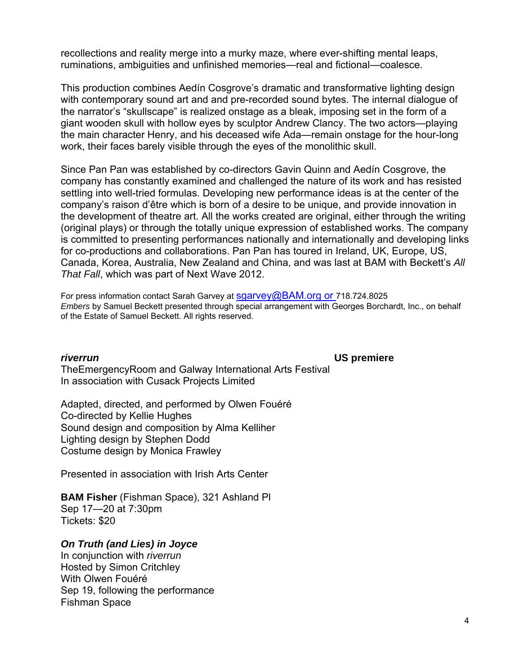recollections and reality merge into a murky maze, where ever-shifting mental leaps, ruminations, ambiguities and unfinished memories—real and fictional—coalesce.

This production combines Aedín Cosgrove's dramatic and transformative lighting design with contemporary sound art and and pre-recorded sound bytes. The internal dialogue of the narrator's "skullscape" is realized onstage as a bleak, imposing set in the form of a giant wooden skull with hollow eyes by sculptor Andrew Clancy. The two actors—playing the main character Henry, and his deceased wife Ada—remain onstage for the hour-long work, their faces barely visible through the eyes of the monolithic skull.

Since Pan Pan was established by co-directors Gavin Quinn and Aedín Cosgrove, the company has constantly examined and challenged the nature of its work and has resisted settling into well-tried formulas. Developing new performance ideas is at the center of the company's raison d'être which is born of a desire to be unique, and provide innovation in the development of theatre art. All the works created are original, either through the writing (original plays) or through the totally unique expression of established works. The company is committed to presenting performances nationally and internationally and developing links for co-productions and collaborations. Pan Pan has toured in Ireland, UK, Europe, US, Canada, Korea, Australia, New Zealand and China, and was last at BAM with Beckett's *All That Fall*, which was part of Next Wave 2012.

For press information contact Sarah Garvey at sgarvey@BAM.org or 718.724.8025 *Embers* by Samuel Beckett presented through special arrangement with Georges Borchardt, Inc., on behalf of the Estate of Samuel Beckett. All rights reserved.

### *riverrun* **US premiere**

TheEmergencyRoom and Galway International Arts Festival In association with Cusack Projects Limited

Adapted, directed, and performed by Olwen Fouéré Co-directed by Kellie Hughes Sound design and composition by Alma Kelliher Lighting design by Stephen Dodd Costume design by Monica Frawley

Presented in association with Irish Arts Center

**BAM Fisher** (Fishman Space), 321 Ashland Pl Sep 17—20 at 7:30pm Tickets: \$20

# *On Truth (and Lies) in Joyce*

In conjunction with *riverrun* Hosted by Simon Critchley With Olwen Fouéré Sep 19, following the performance Fishman Space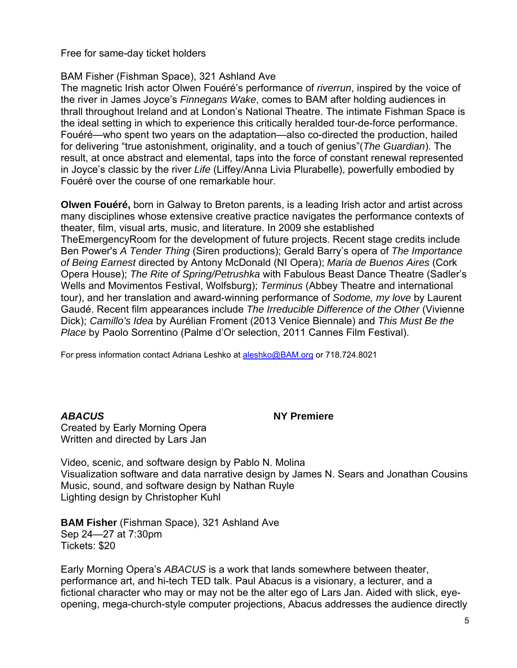Free for same-day ticket holders

### BAM Fisher (Fishman Space), 321 Ashland Ave

The magnetic Irish actor Olwen Fouéré's performance of *riverrun*, inspired by the voice of the river in James Joyce's *Finnegans Wake*, comes to BAM after holding audiences in thrall throughout Ireland and at London's National Theatre. The intimate Fishman Space is the ideal setting in which to experience this critically heralded tour-de-force performance. Fouéré—who spent two years on the adaptation—also co-directed the production, hailed for delivering "true astonishment, originality, and a touch of genius"(*The Guardian*). The result, at once abstract and elemental, taps into the force of constant renewal represented in Joyce's classic by the river *Life* (Liffey/Anna Livia Plurabelle), powerfully embodied by Fouéré over the course of one remarkable hour.

**Olwen Fouéré,** born in Galway to Breton parents, is a leading Irish actor and artist across many disciplines whose extensive creative practice navigates the performance contexts of theater, film, visual arts, music, and literature. In 2009 she established TheEmergencyRoom for the development of future projects. Recent stage credits include Ben Power's *A Tender Thing* (Siren productions); Gerald Barry's opera of *The Importance of Being Earnest* directed by Antony McDonald (NI Opera); *Maria de Buenos Aires* (Cork Opera House); *The Rite of Spring/Petrushka* with Fabulous Beast Dance Theatre (Sadler's Wells and Movimentos Festival, Wolfsburg); *Terminus* (Abbey Theatre and international tour), and her translation and award-winning performance of *Sodome, my love* by Laurent Gaudé. Recent film appearances include *The Irreducible Difference of the Other* (Vivienne Dick); *Camillo's Idea* by Aurélian Froment (2013 Venice Biennale) and *This Must Be the Place* by Paolo Sorrentino (Palme d'Or selection, 2011 Cannes Film Festival).

For press information contact Adriana Leshko at aleshko@BAM.org or 718.724.8021

#### *ABACUS* **NY Premiere**

Created by Early Morning Opera Written and directed by Lars Jan

Video, scenic, and software design by Pablo N. Molina Visualization software and data narrative design by James N. Sears and Jonathan Cousins Music, sound, and software design by Nathan Ruyle Lighting design by Christopher Kuhl

**BAM Fisher** (Fishman Space), 321 Ashland Ave Sep 24—27 at 7:30pm Tickets: \$20

Early Morning Opera's *ABACUS* is a work that lands somewhere between theater, performance art, and hi-tech TED talk. Paul Abacus is a visionary, a lecturer, and a fictional character who may or may not be the alter ego of Lars Jan. Aided with slick, eyeopening, mega-church-style computer projections, Abacus addresses the audience directly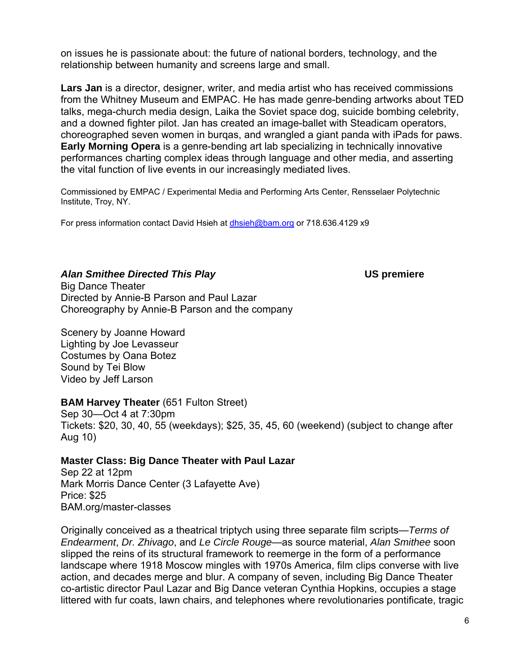on issues he is passionate about: the future of national borders, technology, and the relationship between humanity and screens large and small.

**Lars Jan** is a director, designer, writer, and media artist who has received commissions from the Whitney Museum and EMPAC. He has made genre-bending artworks about TED talks, mega-church media design, Laika the Soviet space dog, suicide bombing celebrity, and a downed fighter pilot. Jan has created an image-ballet with Steadicam operators, choreographed seven women in burqas, and wrangled a giant panda with iPads for paws. **Early Morning Opera** is a genre-bending art lab specializing in technically innovative performances charting complex ideas through language and other media, and asserting the vital function of live events in our increasingly mediated lives.

Commissioned by EMPAC / Experimental Media and Performing Arts Center, Rensselaer Polytechnic Institute, Troy, NY.

For press information contact David Hsieh at dhsieh@bam.org or 718.636.4129 x9

### *Alan Smithee Directed This Play* **US premiere**

Big Dance Theater Directed by Annie-B Parson and Paul Lazar Choreography by Annie-B Parson and the company

Scenery by Joanne Howard Lighting by Joe Levasseur Costumes by Oana Botez Sound by Tei Blow Video by Jeff Larson

### **BAM Harvey Theater** (651 Fulton Street)

Sep 30—Oct 4 at 7:30pm Tickets: \$20, 30, 40, 55 (weekdays); \$25, 35, 45, 60 (weekend) (subject to change after Aug 10)

### **Master Class: Big Dance Theater with Paul Lazar**

Sep 22 at 12pm Mark Morris Dance Center (3 Lafayette Ave) Price: \$25 BAM.org/master-classes

Originally conceived as a theatrical triptych using three separate film scripts—*Terms of Endearment*, *Dr. Zhivago*, and *Le Circle Rouge*—as source material, *Alan Smithee* soon slipped the reins of its structural framework to reemerge in the form of a performance landscape where 1918 Moscow mingles with 1970s America, film clips converse with live action, and decades merge and blur. A company of seven, including Big Dance Theater co-artistic director Paul Lazar and Big Dance veteran Cynthia Hopkins, occupies a stage littered with fur coats, lawn chairs, and telephones where revolutionaries pontificate, tragic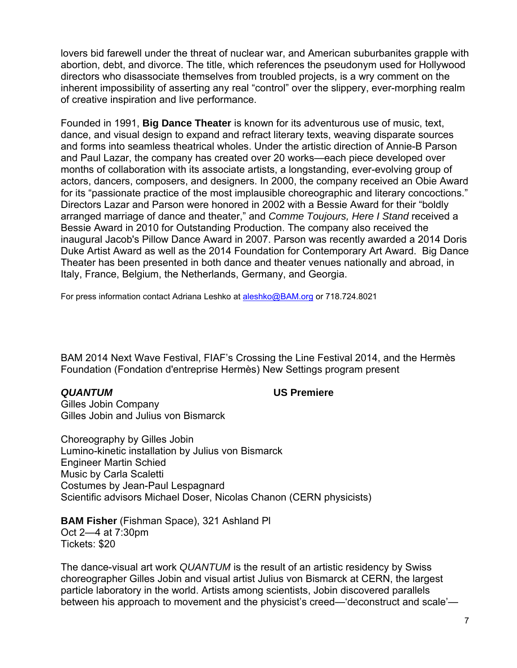lovers bid farewell under the threat of nuclear war, and American suburbanites grapple with abortion, debt, and divorce. The title, which references the pseudonym used for Hollywood directors who disassociate themselves from troubled projects, is a wry comment on the inherent impossibility of asserting any real "control" over the slippery, ever-morphing realm of creative inspiration and live performance.

Founded in 1991, **Big Dance Theater** is known for its adventurous use of music, text, dance, and visual design to expand and refract literary texts, weaving disparate sources and forms into seamless theatrical wholes. Under the artistic direction of Annie-B Parson and Paul Lazar, the company has created over 20 works—each piece developed over months of collaboration with its associate artists, a longstanding, ever-evolving group of actors, dancers, composers, and designers. In 2000, the company received an Obie Award for its "passionate practice of the most implausible choreographic and literary concoctions." Directors Lazar and Parson were honored in 2002 with a Bessie Award for their "boldly arranged marriage of dance and theater," and *Comme Toujours, Here I Stand* received a Bessie Award in 2010 for Outstanding Production. The company also received the inaugural Jacob's Pillow Dance Award in 2007. Parson was recently awarded a 2014 Doris Duke Artist Award as well as the 2014 Foundation for Contemporary Art Award. Big Dance Theater has been presented in both dance and theater venues nationally and abroad, in Italy, France, Belgium, the Netherlands, Germany, and Georgia.

For press information contact Adriana Leshko at aleshko@BAM.org or 718.724.8021

BAM 2014 Next Wave Festival, FIAF's Crossing the Line Festival 2014, and the Hermès Foundation (Fondation d'entreprise Hermès) New Settings program present

### *QUANTUM* **US Premiere**

Gilles Jobin Company Gilles Jobin and Julius von Bismarck

Choreography by Gilles Jobin Lumino-kinetic installation by Julius von Bismarck Engineer Martin Schied Music by Carla Scaletti Costumes by Jean-Paul Lespagnard Scientific advisors Michael Doser, Nicolas Chanon (CERN physicists)

**BAM Fisher** (Fishman Space), 321 Ashland Pl Oct 2—4 at 7:30pm Tickets: \$20

The dance-visual art work *QUANTUM* is the result of an artistic residency by Swiss choreographer Gilles Jobin and visual artist Julius von Bismarck at CERN, the largest particle laboratory in the world. Artists among scientists, Jobin discovered parallels between his approach to movement and the physicist's creed—'deconstruct and scale'—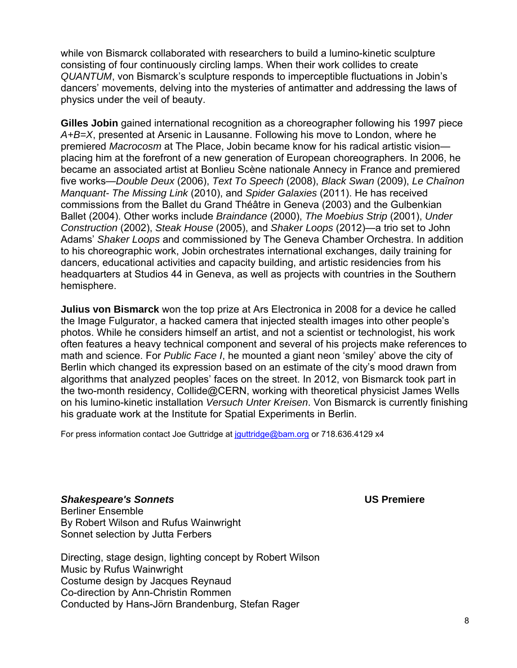while von Bismarck collaborated with researchers to build a lumino-kinetic sculpture consisting of four continuously circling lamps. When their work collides to create *QUANTUM*, von Bismarck's sculpture responds to imperceptible fluctuations in Jobin's dancers' movements, delving into the mysteries of antimatter and addressing the laws of physics under the veil of beauty.

**Gilles Jobin** gained international recognition as a choreographer following his 1997 piece *A+B=X*, presented at Arsenic in Lausanne. Following his move to London, where he premiered *Macrocosm* at The Place, Jobin became know for his radical artistic vision placing him at the forefront of a new generation of European choreographers. In 2006, he became an associated artist at Bonlieu Scène nationale Annecy in France and premiered five works—*Double Deux* (2006), *Text To Speech* (2008), *Black Swan* (2009), *Le Chaînon Manquant- The Missing Link* (2010), and *Spider Galaxies* (2011). He has received commissions from the Ballet du Grand Théâtre in Geneva (2003) and the Gulbenkian Ballet (2004). Other works include *Braindance* (2000), *The Moebius Strip* (2001), *Under Construction* (2002), *Steak House* (2005), and *Shaker Loops* (2012)—a trio set to John Adams' *Shaker Loops* and commissioned by The Geneva Chamber Orchestra. In addition to his choreographic work, Jobin orchestrates international exchanges, daily training for dancers, educational activities and capacity building, and artistic residencies from his headquarters at Studios 44 in Geneva, as well as projects with countries in the Southern hemisphere.

**Julius von Bismarck** won the top prize at Ars Electronica in 2008 for a device he called the Image Fulgurator, a hacked camera that injected stealth images into other people's photos. While he considers himself an artist, and not a scientist or technologist, his work often features a heavy technical component and several of his projects make references to math and science. For *Public Face I*, he mounted a giant neon 'smiley' above the city of Berlin which changed its expression based on an estimate of the city's mood drawn from algorithms that analyzed peoples' faces on the street. In 2012, von Bismarck took part in the two-month residency, Collide@CERN, working with theoretical physicist James Wells on his lumino-kinetic installation *Versuch Unter Kreisen*. Von Bismarck is currently finishing his graduate work at the Institute for Spatial Experiments in Berlin.

For press information contact Joe Guttridge at jguttridge@bam.org or 718.636.4129 x4

*Shakespeare's Sonnets* **US Premiere**  Berliner Ensemble By Robert Wilson and Rufus Wainwright Sonnet selection by Jutta Ferbers

Directing, stage design, lighting concept by Robert Wilson Music by Rufus Wainwright Costume design by Jacques Reynaud Co-direction by Ann-Christin Rommen Conducted by Hans-Jörn Brandenburg, Stefan Rager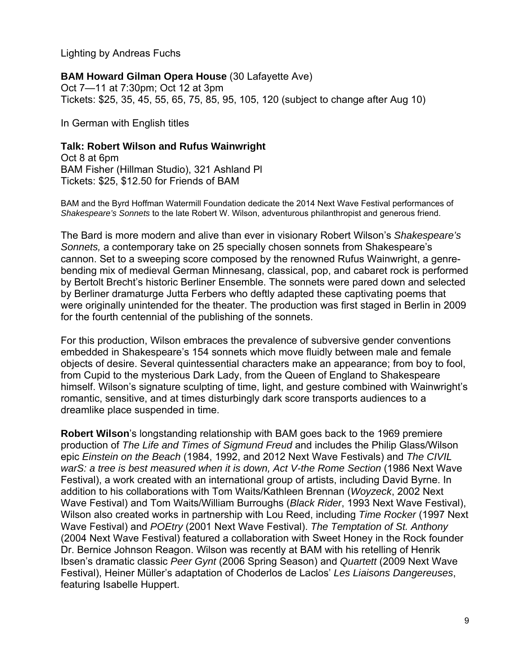Lighting by Andreas Fuchs

### **BAM Howard Gilman Opera House** (30 Lafayette Ave)

Oct 7—11 at 7:30pm; Oct 12 at 3pm Tickets: \$25, 35, 45, 55, 65, 75, 85, 95, 105, 120 (subject to change after Aug 10)

In German with English titles

### **Talk: Robert Wilson and Rufus Wainwright**

Oct 8 at 6pm BAM Fisher (Hillman Studio), 321 Ashland Pl Tickets: \$25, \$12.50 for Friends of BAM

BAM and the Byrd Hoffman Watermill Foundation dedicate the 2014 Next Wave Festival performances of *Shakespeare's Sonnets* to the late Robert W. Wilson, adventurous philanthropist and generous friend.

The Bard is more modern and alive than ever in visionary Robert Wilson's *Shakespeare's Sonnets,* a contemporary take on 25 specially chosen sonnets from Shakespeare's cannon. Set to a sweeping score composed by the renowned Rufus Wainwright, a genrebending mix of medieval German Minnesang, classical, pop, and cabaret rock is performed by Bertolt Brecht's historic Berliner Ensemble. The sonnets were pared down and selected by Berliner dramaturge Jutta Ferbers who deftly adapted these captivating poems that were originally unintended for the theater. The production was first staged in Berlin in 2009 for the fourth centennial of the publishing of the sonnets.

For this production, Wilson embraces the prevalence of subversive gender conventions embedded in Shakespeare's 154 sonnets which move fluidly between male and female objects of desire. Several quintessential characters make an appearance; from boy to fool, from Cupid to the mysterious Dark Lady, from the Queen of England to Shakespeare himself. Wilson's signature sculpting of time, light, and gesture combined with Wainwright's romantic, sensitive, and at times disturbingly dark score transports audiences to a dreamlike place suspended in time.

**Robert Wilson**'s longstanding relationship with BAM goes back to the 1969 premiere production of *The Life and Times of Sigmund Freud* and includes the Philip Glass/Wilson epic *Einstein on the Beach* (1984, 1992, and 2012 Next Wave Festivals) and *The CIVIL warS: a tree is best measured when it is down, Act V-the Rome Section* (1986 Next Wave Festival), a work created with an international group of artists, including David Byrne. In addition to his collaborations with Tom Waits/Kathleen Brennan (*Woyzeck*, 2002 Next Wave Festival) and Tom Waits/William Burroughs (*Black Rider*, 1993 Next Wave Festival), Wilson also created works in partnership with Lou Reed, including *Time Rocker* (1997 Next Wave Festival) and *POEtry* (2001 Next Wave Festival). *The Temptation of St. Anthony* (2004 Next Wave Festival) featured a collaboration with Sweet Honey in the Rock founder Dr. Bernice Johnson Reagon. Wilson was recently at BAM with his retelling of Henrik Ibsen's dramatic classic *Peer Gynt* (2006 Spring Season) and *Quartett* (2009 Next Wave Festival), Heiner Müller's adaptation of Choderlos de Laclos' *Les Liaisons Dangereuses*, featuring Isabelle Huppert.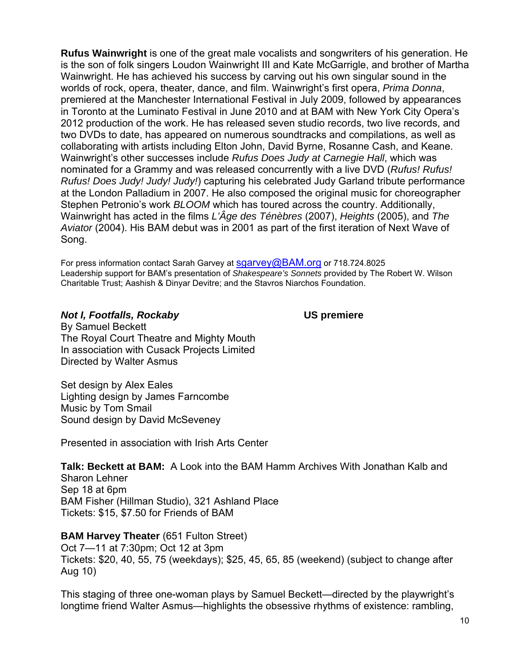**Rufus Wainwright** is one of the great male vocalists and songwriters of his generation. He is the son of folk singers Loudon Wainwright III and Kate McGarrigle, and brother of Martha Wainwright. He has achieved his success by carving out his own singular sound in the worlds of rock, opera, theater, dance, and film. Wainwright's first opera, *Prima Donna*, premiered at the Manchester International Festival in July 2009, followed by appearances in Toronto at the Luminato Festival in June 2010 and at BAM with New York City Opera's 2012 production of the work. He has released seven studio records, two live records, and two DVDs to date, has appeared on numerous soundtracks and compilations, as well as collaborating with artists including Elton John, David Byrne, Rosanne Cash, and Keane. Wainwright's other successes include *Rufus Does Judy at Carnegie Hall*, which was nominated for a Grammy and was released concurrently with a live DVD (*Rufus! Rufus! Rufus! Does Judy! Judy! Judy!*) capturing his celebrated Judy Garland tribute performance at the London Palladium in 2007. He also composed the original music for choreographer Stephen Petronio's work *BLOOM* which has toured across the country. Additionally, Wainwright has acted in the films *L'Âge des Ténèbres* (2007), *Heights* (2005), and *The Aviator* (2004). His BAM debut was in 2001 as part of the first iteration of Next Wave of Song.

For press information contact Sarah Garvey at sgarvey@BAM.org or 718.724.8025 Leadership support for BAM's presentation of *Shakespeare's Sonnets* provided by The Robert W. Wilson Charitable Trust; Aashish & Dinyar Devitre; and the Stavros Niarchos Foundation.

#### *Not I, Footfalls, Rockaby* **US premiere**

By Samuel Beckett The Royal Court Theatre and Mighty Mouth In association with Cusack Projects Limited Directed by Walter Asmus

Set design by Alex Eales Lighting design by James Farncombe Music by Tom Smail Sound design by David McSeveney

Presented in association with Irish Arts Center

**Talk: Beckett at BAM:** A Look into the BAM Hamm Archives With Jonathan Kalb and Sharon Lehner Sep 18 at 6pm BAM Fisher (Hillman Studio), 321 Ashland Place Tickets: \$15, \$7.50 for Friends of BAM

**BAM Harvey Theater (651 Fulton Street)** 

Oct 7—11 at 7:30pm; Oct 12 at 3pm Tickets: \$20, 40, 55, 75 (weekdays); \$25, 45, 65, 85 (weekend) (subject to change after Aug 10)

This staging of three one-woman plays by Samuel Beckett—directed by the playwright's longtime friend Walter Asmus—highlights the obsessive rhythms of existence: rambling,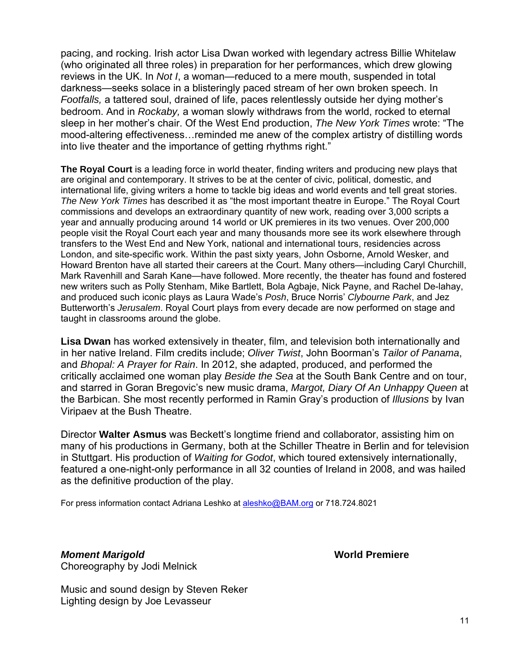pacing, and rocking. Irish actor Lisa Dwan worked with legendary actress Billie Whitelaw (who originated all three roles) in preparation for her performances, which drew glowing reviews in the UK. In *Not I*, a woman—reduced to a mere mouth, suspended in total darkness—seeks solace in a blisteringly paced stream of her own broken speech. In *Footfalls,* a tattered soul, drained of life, paces relentlessly outside her dying mother's bedroom. And in *Rockaby,* a woman slowly withdraws from the world, rocked to eternal sleep in her mother's chair. Of the West End production, *The New York Times* wrote: "The mood-altering effectiveness…reminded me anew of the complex artistry of distilling words into live theater and the importance of getting rhythms right."

**The Royal Court** is a leading force in world theater, finding writers and producing new plays that are original and contemporary. It strives to be at the center of civic, political, domestic, and international life, giving writers a home to tackle big ideas and world events and tell great stories. *The New York Times* has described it as "the most important theatre in Europe." The Royal Court commissions and develops an extraordinary quantity of new work, reading over 3,000 scripts a year and annually producing around 14 world or UK premieres in its two venues. Over 200,000 people visit the Royal Court each year and many thousands more see its work elsewhere through transfers to the West End and New York, national and international tours, residencies across London, and site-specific work. Within the past sixty years, John Osborne, Arnold Wesker, and Howard Brenton have all started their careers at the Court. Many others—including Caryl Churchill, Mark Ravenhill and Sarah Kane—have followed. More recently, the theater has found and fostered new writers such as Polly Stenham, Mike Bartlett, Bola Agbaje, Nick Payne, and Rachel De-lahay, and produced such iconic plays as Laura Wade's *Posh*, Bruce Norris' *Clybourne Park*, and Jez Butterworth's *Jerusalem*. Royal Court plays from every decade are now performed on stage and taught in classrooms around the globe.

**Lisa Dwan** has worked extensively in theater, film, and television both internationally and in her native Ireland. Film credits include; *Oliver Twist*, John Boorman's *Tailor of Panama*, and *Bhopal: A Prayer for Rain*. In 2012, she adapted, produced, and performed the critically acclaimed one woman play *Beside the Sea* at the South Bank Centre and on tour, and starred in Goran Bregovic's new music drama, *Margot, Diary Of An Unhappy Queen* at the Barbican. She most recently performed in Ramin Gray's production of *Illusions* by Ivan Viripaev at the Bush Theatre.

Director **Walter Asmus** was Beckett's longtime friend and collaborator, assisting him on many of his productions in Germany, both at the Schiller Theatre in Berlin and for television in Stuttgart. His production of *Waiting for Godot*, which toured extensively internationally, featured a one-night-only performance in all 32 counties of Ireland in 2008, and was hailed as the definitive production of the play.

For press information contact Adriana Leshko at aleshko@BAM.org or 718.724.8021

# *Moment Marigold World Premiere World Premiere*

Choreography by Jodi Melnick

Music and sound design by Steven Reker Lighting design by Joe Levasseur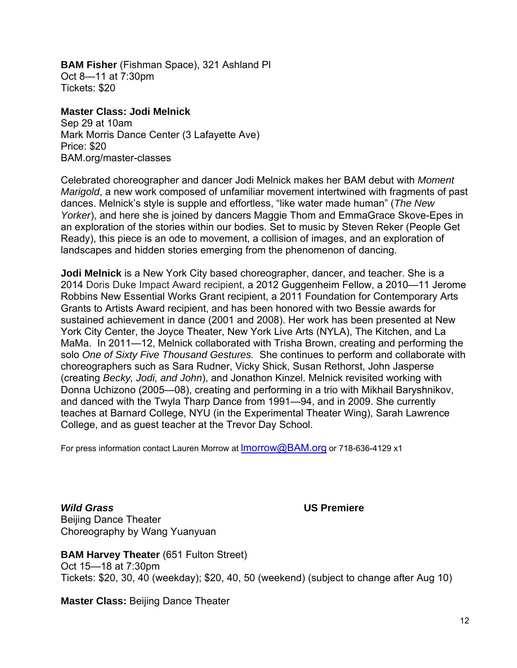**BAM Fisher** (Fishman Space), 321 Ashland Pl Oct 8—11 at 7:30pm Tickets: \$20

**Master Class: Jodi Melnick** 

Sep 29 at 10am Mark Morris Dance Center (3 Lafayette Ave) Price: \$20 BAM.org/master-classes

Celebrated choreographer and dancer Jodi Melnick makes her BAM debut with *Moment Marigold*, a new work composed of unfamiliar movement intertwined with fragments of past dances. Melnick's style is supple and effortless, "like water made human" (*The New Yorker*), and here she is joined by dancers Maggie Thom and EmmaGrace Skove-Epes in an exploration of the stories within our bodies. Set to music by Steven Reker (People Get Ready), this piece is an ode to movement, a collision of images, and an exploration of landscapes and hidden stories emerging from the phenomenon of dancing.

**Jodi Melnick** is a New York City based choreographer, dancer, and teacher. She is a 2014 Doris Duke Impact Award recipient, a 2012 Guggenheim Fellow, a 2010—11 Jerome Robbins New Essential Works Grant recipient, a 2011 Foundation for Contemporary Arts Grants to Artists Award recipient, and has been honored with two Bessie awards for sustained achievement in dance (2001 and 2008). Her work has been presented at New York City Center, the Joyce Theater, New York Live Arts (NYLA), The Kitchen, and La MaMa. In 2011—12, Melnick collaborated with Trisha Brown, creating and performing the solo *One of Sixty Five Thousand Gestures.* She continues to perform and collaborate with choreographers such as Sara Rudner, Vicky Shick, Susan Rethorst, John Jasperse (creating *Becky, Jodi, and John*), and Jonathon Kinzel. Melnick revisited working with Donna Uchizono (2005—08), creating and performing in a trio with Mikhail Baryshnikov, and danced with the Twyla Tharp Dance from 1991—94, and in 2009. She currently teaches at Barnard College, NYU (in the Experimental Theater Wing), Sarah Lawrence College, and as guest teacher at the Trevor Day School.

For press information contact Lauren Morrow at **Imorrow@BAM.org** or 718-636-4129 x1

*Wild Grass* **US Premiere**  Beijing Dance Theater Choreography by Wang Yuanyuan

**BAM Harvey Theater** (651 Fulton Street) Oct 15—18 at 7:30pm Tickets: \$20, 30, 40 (weekday); \$20, 40, 50 (weekend) (subject to change after Aug 10)

**Master Class:** Beijing Dance Theater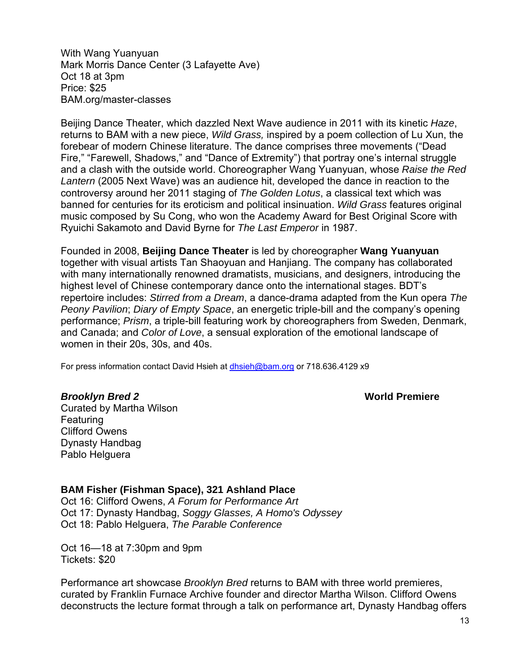With Wang Yuanyuan Mark Morris Dance Center (3 Lafayette Ave) Oct 18 at 3pm Price: \$25 BAM.org/master-classes

Beijing Dance Theater, which dazzled Next Wave audience in 2011 with its kinetic *Haze*, returns to BAM with a new piece, *Wild Grass,* inspired by a poem collection of Lu Xun, the forebear of modern Chinese literature. The dance comprises three movements ("Dead Fire," "Farewell, Shadows," and "Dance of Extremity") that portray one's internal struggle and a clash with the outside world. Choreographer Wang Yuanyuan, whose *Raise the Red Lantern* (2005 Next Wave) was an audience hit, developed the dance in reaction to the controversy around her 2011 staging of *The Golden Lotus*, a classical text which was banned for centuries for its eroticism and political insinuation. *Wild Grass* features original music composed by Su Cong, who won the Academy Award for Best Original Score with Ryuichi Sakamoto and David Byrne for *The Last Emperor* in 1987.

Founded in 2008, **Beijing Dance Theater** is led by choreographer **Wang Yuanyuan** together with visual artists Tan Shaoyuan and Hanjiang. The company has collaborated with many internationally renowned dramatists, musicians, and designers, introducing the highest level of Chinese contemporary dance onto the international stages. BDT's repertoire includes: *Stirred from a Dream*, a dance-drama adapted from the Kun opera *The Peony Pavilion*; *Diary of Empty Space*, an energetic triple-bill and the company's opening performance; *Prism*, a triple-bill featuring work by choreographers from Sweden, Denmark, and Canada; and *Color of Love*, a sensual exploration of the emotional landscape of women in their 20s, 30s, and 40s.

For press information contact David Hsieh at dhsieh@bam.org or 718.636.4129 x9

**Brooklyn Bred 2** World Premiere

Curated by Martha Wilson Featuring Clifford Owens Dynasty Handbag Pablo Helguera

**BAM Fisher (Fishman Space), 321 Ashland Place** 

Oct 16: Clifford Owens, *A Forum for Performance Art* Oct 17: Dynasty Handbag, *Soggy Glasses, A Homo's Odyssey* Oct 18: Pablo Helguera, *The Parable Conference*

Oct 16—18 at 7:30pm and 9pm Tickets: \$20

Performance art showcase *Brooklyn Bred* returns to BAM with three world premieres, curated by Franklin Furnace Archive founder and director Martha Wilson. Clifford Owens deconstructs the lecture format through a talk on performance art, Dynasty Handbag offers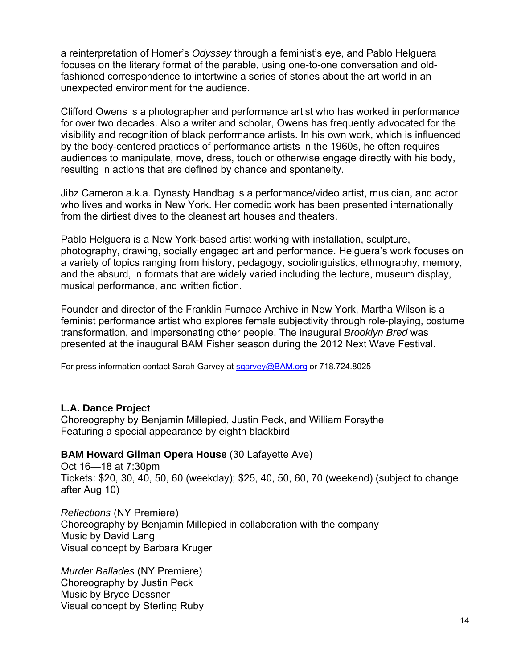a reinterpretation of Homer's *Odyssey* through a feminist's eye, and Pablo Helguera focuses on the literary format of the parable, using one-to-one conversation and oldfashioned correspondence to intertwine a series of stories about the art world in an unexpected environment for the audience.

Clifford Owens is a photographer and performance artist who has worked in performance for over two decades. Also a writer and scholar, Owens has frequently advocated for the visibility and recognition of black performance artists. In his own work, which is influenced by the body-centered practices of performance artists in the 1960s, he often requires audiences to manipulate, move, dress, touch or otherwise engage directly with his body, resulting in actions that are defined by chance and spontaneity.

Jibz Cameron a.k.a. Dynasty Handbag is a performance/video artist, musician, and actor who lives and works in New York. Her comedic work has been presented internationally from the dirtiest dives to the cleanest art houses and theaters.

Pablo Helguera is a New York-based artist working with installation, sculpture, photography, drawing, socially engaged art and performance. Helguera's work focuses on a variety of topics ranging from history, pedagogy, sociolinguistics, ethnography, memory, and the absurd, in formats that are widely varied including the lecture, museum display, musical performance, and written fiction.

Founder and director of the Franklin Furnace Archive in New York, Martha Wilson is a feminist performance artist who explores female subjectivity through role-playing, costume transformation, and impersonating other people. The inaugural *Brooklyn Bred* was presented at the inaugural BAM Fisher season during the 2012 Next Wave Festival.

For press information contact Sarah Garvey at sgarvey@BAM.org or 718.724.8025

### **L.A. Dance Project**

Choreography by Benjamin Millepied, Justin Peck, and William Forsythe Featuring a special appearance by eighth blackbird

### **BAM Howard Gilman Opera House** (30 Lafayette Ave)

Oct 16—18 at 7:30pm Tickets: \$20, 30, 40, 50, 60 (weekday); \$25, 40, 50, 60, 70 (weekend) (subject to change after Aug 10)

*Reflections* (NY Premiere) Choreography by Benjamin Millepied in collaboration with the company Music by David Lang Visual concept by Barbara Kruger

*Murder Ballades* (NY Premiere) Choreography by Justin Peck Music by Bryce Dessner Visual concept by Sterling Ruby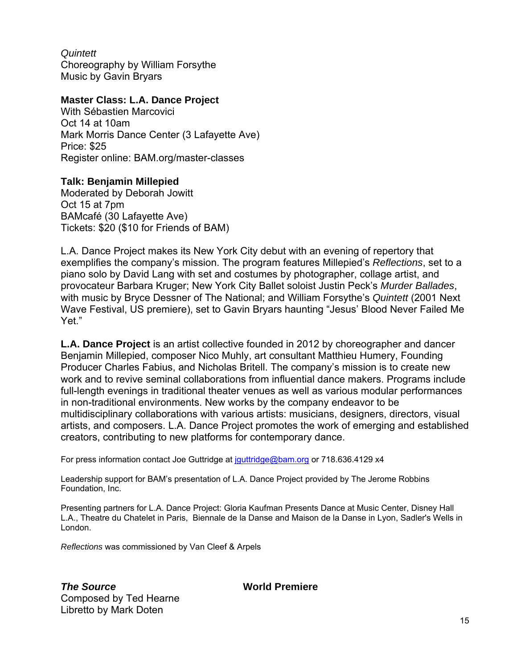*Quintett*  Choreography by William Forsythe Music by Gavin Bryars

### **Master Class: L.A. Dance Project**

With Sébastien Marcovici Oct 14 at 10am Mark Morris Dance Center (3 Lafayette Ave) Price: \$25 Register online: BAM.org/master-classes

#### **Talk: Benjamin Millepied**

Moderated by Deborah Jowitt Oct 15 at 7pm BAMcafé (30 Lafayette Ave) Tickets: \$20 (\$10 for Friends of BAM)

L.A. Dance Project makes its New York City debut with an evening of repertory that exemplifies the company's mission. The program features Millepied's *Reflections*, set to a piano solo by David Lang with set and costumes by photographer, collage artist, and provocateur Barbara Kruger; New York City Ballet soloist Justin Peck's *Murder Ballades*, with music by Bryce Dessner of The National; and William Forsythe's *Quintett* (2001 Next Wave Festival, US premiere), set to Gavin Bryars haunting "Jesus' Blood Never Failed Me Yet."

**L.A. Dance Project** is an artist collective founded in 2012 by choreographer and dancer Benjamin Millepied, composer Nico Muhly, art consultant Matthieu Humery, Founding Producer Charles Fabius, and Nicholas Britell. The company's mission is to create new work and to revive seminal collaborations from influential dance makers. Programs include full-length evenings in traditional theater venues as well as various modular performances in non-traditional environments. New works by the company endeavor to be multidisciplinary collaborations with various artists: musicians, designers, directors, visual artists, and composers. L.A. Dance Project promotes the work of emerging and established creators, contributing to new platforms for contemporary dance.

For press information contact Joe Guttridge at jguttridge@bam.org or 718.636.4129 x4

Leadership support for BAM's presentation of L.A. Dance Project provided by The Jerome Robbins Foundation, Inc.

Presenting partners for L.A. Dance Project: Gloria Kaufman Presents Dance at Music Center, Disney Hall L.A., Theatre du Chatelet in Paris, Biennale de la Danse and Maison de la Danse in Lyon, Sadler's Wells in London.

*Reflections* was commissioned by Van Cleef & Arpels

**The Source**  World Premiere Composed by Ted Hearne Libretto by Mark Doten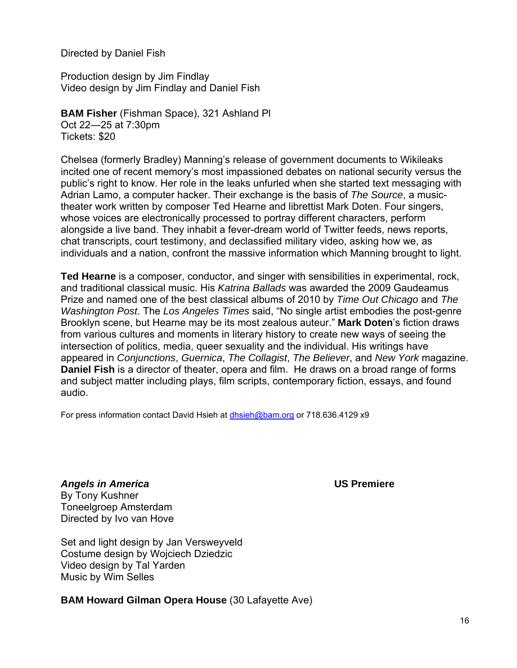Directed by Daniel Fish

Production design by Jim Findlay Video design by Jim Findlay and Daniel Fish

**BAM Fisher** (Fishman Space), 321 Ashland Pl Oct 22—25 at 7:30pm Tickets: \$20

Chelsea (formerly Bradley) Manning's release of government documents to Wikileaks incited one of recent memory's most impassioned debates on national security versus the public's right to know. Her role in the leaks unfurled when she started text messaging with Adrian Lamo, a computer hacker. Their exchange is the basis of *The Source*, a musictheater work written by composer Ted Hearne and librettist Mark Doten. Four singers, whose voices are electronically processed to portray different characters, perform alongside a live band. They inhabit a fever-dream world of Twitter feeds, news reports, chat transcripts, court testimony, and declassified military video, asking how we, as individuals and a nation, confront the massive information which Manning brought to light.

**Ted Hearne** is a composer, conductor, and singer with sensibilities in experimental, rock, and traditional classical music. His *Katrina Ballads* was awarded the 2009 Gaudeamus Prize and named one of the best classical albums of 2010 by *Time Out Chicago* and *The Washington Post*. The *Los Angeles Times* said, "No single artist embodies the post-genre Brooklyn scene, but Hearne may be its most zealous auteur." **Mark Doten**'s fiction draws from various cultures and moments in literary history to create new ways of seeing the intersection of politics, media, queer sexuality and the individual. His writings have appeared in *Conjunctions*, *Guernica*, *The Collagist*, *The Believer*, and *New York* magazine. **Daniel Fish** is a director of theater, opera and film. He draws on a broad range of forms and subject matter including plays, film scripts, contemporary fiction, essays, and found audio.

For press information contact David Hsieh at dhsieh@bam.org or 718.636.4129 x9

*Angels in America* **US Premiere**  By Tony Kushner Toneelgroep Amsterdam Directed by Ivo van Hove

Set and light design by Jan Versweyveld Costume design by Wojciech Dziedzic Video design by Tal Yarden Music by Wim Selles

**BAM Howard Gilman Opera House** (30 Lafayette Ave)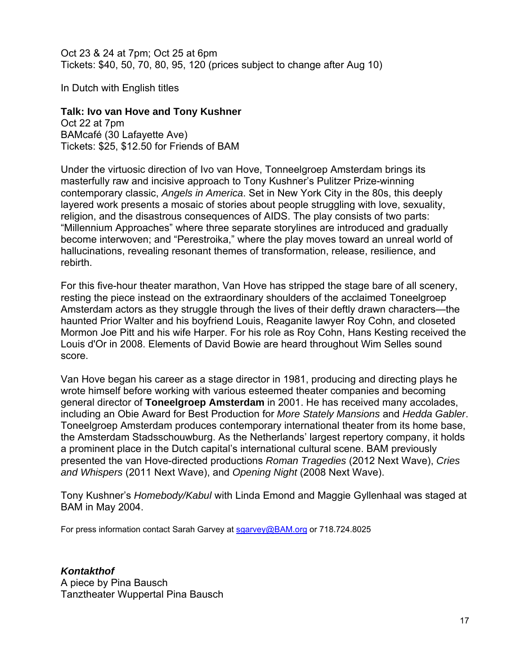Oct 23 & 24 at 7pm; Oct 25 at 6pm Tickets: \$40, 50, 70, 80, 95, 120 (prices subject to change after Aug 10)

In Dutch with English titles

# **Talk: Ivo van Hove and Tony Kushner**

Oct 22 at 7pm BAMcafé (30 Lafayette Ave) Tickets: \$25, \$12.50 for Friends of BAM

Under the virtuosic direction of Ivo van Hove, Tonneelgroep Amsterdam brings its masterfully raw and incisive approach to Tony Kushner's Pulitzer Prize-winning contemporary classic, *Angels in America*. Set in New York City in the 80s, this deeply layered work presents a mosaic of stories about people struggling with love, sexuality, religion, and the disastrous consequences of AIDS. The play consists of two parts: "Millennium Approaches" where three separate storylines are introduced and gradually become interwoven; and "Perestroika," where the play moves toward an unreal world of hallucinations, revealing resonant themes of transformation, release, resilience, and rebirth.

For this five-hour theater marathon, Van Hove has stripped the stage bare of all scenery, resting the piece instead on the extraordinary shoulders of the acclaimed Toneelgroep Amsterdam actors as they struggle through the lives of their deftly drawn characters—the haunted Prior Walter and his boyfriend Louis, Reaganite lawyer Roy Cohn, and closeted Mormon Joe Pitt and his wife Harper. For his role as Roy Cohn, Hans Kesting received the Louis d'Or in 2008. Elements of David Bowie are heard throughout Wim Selles sound score.

Van Hove began his career as a stage director in 1981, producing and directing plays he wrote himself before working with various esteemed theater companies and becoming general director of **Toneelgroep Amsterdam** in 2001. He has received many accolades, including an Obie Award for Best Production for *More Stately Mansions* and *Hedda Gabler*. Toneelgroep Amsterdam produces contemporary international theater from its home base, the Amsterdam Stadsschouwburg. As the Netherlands' largest repertory company, it holds a prominent place in the Dutch capital's international cultural scene. BAM previously presented the van Hove-directed productions *Roman Tragedies* (2012 Next Wave), *Cries and Whispers* (2011 Next Wave), and *Opening Night* (2008 Next Wave).

Tony Kushner's *Homebody/Kabul* with Linda Emond and Maggie Gyllenhaal was staged at BAM in May 2004.

For press information contact Sarah Garvey at sgarvey@BAM.org or 718.724.8025

### *Kontakthof*

A piece by Pina Bausch Tanztheater Wuppertal Pina Bausch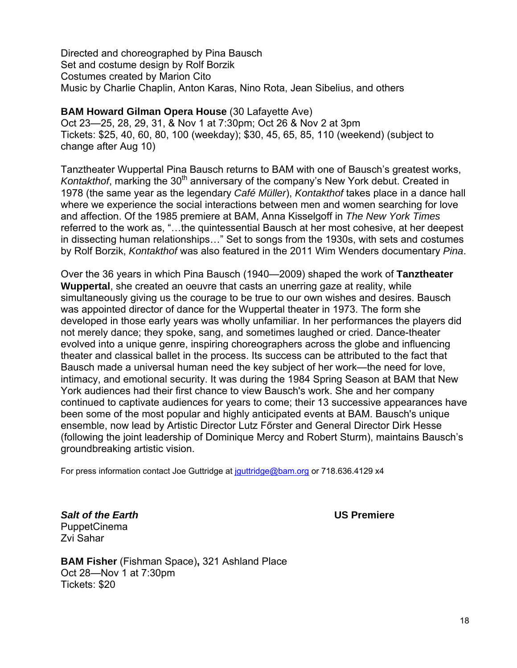Directed and choreographed by Pina Bausch Set and costume design by Rolf Borzik Costumes created by Marion Cito Music by Charlie Chaplin, Anton Karas, Nino Rota, Jean Sibelius, and others

# **BAM Howard Gilman Opera House** (30 Lafayette Ave)

Oct 23—25, 28, 29, 31, & Nov 1 at 7:30pm; Oct 26 & Nov 2 at 3pm Tickets: \$25, 40, 60, 80, 100 (weekday); \$30, 45, 65, 85, 110 (weekend) (subject to change after Aug 10)

Tanztheater Wuppertal Pina Bausch returns to BAM with one of Bausch's greatest works, *Kontakthof*, marking the 30<sup>th</sup> anniversary of the company's New York debut. Created in 1978 (the same year as the legendary *Café Müller*), *Kontakthof* takes place in a dance hall where we experience the social interactions between men and women searching for love and affection. Of the 1985 premiere at BAM, Anna Kisselgoff in *The New York Times* referred to the work as, "…the quintessential Bausch at her most cohesive, at her deepest in dissecting human relationships…" Set to songs from the 1930s, with sets and costumes by Rolf Borzik, *Kontakthof* was also featured in the 2011 Wim Wenders documentary *Pina*.

Over the 36 years in which Pina Bausch (1940—2009) shaped the work of **Tanztheater Wuppertal**, she created an oeuvre that casts an unerring gaze at reality, while simultaneously giving us the courage to be true to our own wishes and desires. Bausch was appointed director of dance for the Wuppertal theater in 1973. The form she developed in those early years was wholly unfamiliar. In her performances the players did not merely dance; they spoke, sang, and sometimes laughed or cried. Dance-theater evolved into a unique genre, inspiring choreographers across the globe and influencing theater and classical ballet in the process. Its success can be attributed to the fact that Bausch made a universal human need the key subject of her work—the need for love, intimacy, and emotional security. It was during the 1984 Spring Season at BAM that New York audiences had their first chance to view Bausch's work. She and her company continued to captivate audiences for years to come; their 13 successive appearances have been some of the most popular and highly anticipated events at BAM. Bausch's unique ensemble, now lead by Artistic Director Lutz Főrster and General Director Dirk Hesse (following the joint leadership of Dominique Mercy and Robert Sturm), maintains Bausch's groundbreaking artistic vision.

For press information contact Joe Guttridge at jguttridge@bam.org or 718.636.4129 x4

*Salt of the Earth* **US Premiere**  PuppetCinema Zvi Sahar

**BAM Fisher** (Fishman Space)**,** 321 Ashland Place Oct 28—Nov 1 at 7:30pm Tickets: \$20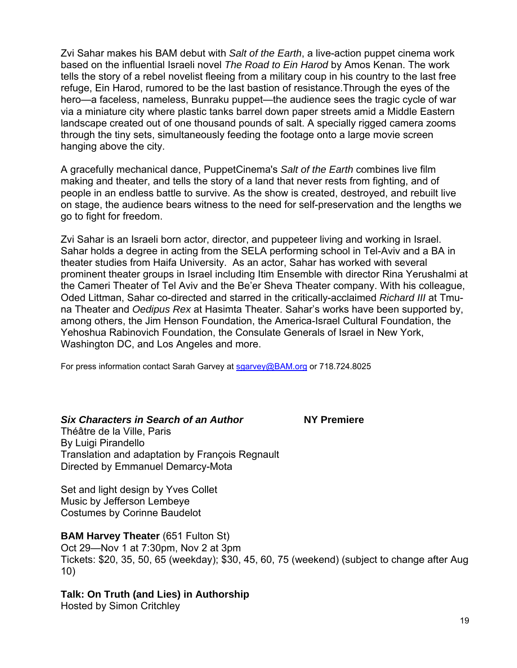Zvi Sahar makes his BAM debut with *Salt of the Earth*, a live-action puppet cinema work based on the influential Israeli novel *The Road to Ein Harod* by Amos Kenan. The work tells the story of a rebel novelist fleeing from a military coup in his country to the last free refuge, Ein Harod, rumored to be the last bastion of resistance.Through the eyes of the hero—a faceless, nameless, Bunraku puppet—the audience sees the tragic cycle of war via a miniature city where plastic tanks barrel down paper streets amid a Middle Eastern landscape created out of one thousand pounds of salt. A specially rigged camera zooms through the tiny sets, simultaneously feeding the footage onto a large movie screen hanging above the city.

A gracefully mechanical dance, PuppetCinema's *Salt of the Earth* combines live film making and theater, and tells the story of a land that never rests from fighting, and of people in an endless battle to survive. As the show is created, destroyed, and rebuilt live on stage, the audience bears witness to the need for self-preservation and the lengths we go to fight for freedom.

Zvi Sahar is an Israeli born actor, director, and puppeteer living and working in Israel. Sahar holds a degree in acting from the SELA performing school in Tel-Aviv and a BA in theater studies from Haifa University. As an actor, Sahar has worked with several prominent theater groups in Israel including Itim Ensemble with director Rina Yerushalmi at the Cameri Theater of Tel Aviv and the Be'er Sheva Theater company. With his colleague, Oded Littman, Sahar co-directed and starred in the critically-acclaimed *Richard III* at Tmuna Theater and *Oedipus Rex* at Hasimta Theater. Sahar's works have been supported by, among others, the Jim Henson Foundation, the America-Israel Cultural Foundation, the Yehoshua Rabinovich Foundation, the Consulate Generals of Israel in New York, Washington DC, and Los Angeles and more.

For press information contact Sarah Garvey at sgarvey@BAM.org or 718.724.8025

### *Six Characters in Search of an Author* **NY Premiere**

Théâtre de la Ville, Paris By Luigi Pirandello Translation and adaptation by François Regnault Directed by Emmanuel Demarcy-Mota

Set and light design by Yves Collet Music by Jefferson Lembeye Costumes by Corinne Baudelot

# **BAM Harvey Theater** (651 Fulton St)

Oct 29—Nov 1 at 7:30pm, Nov 2 at 3pm Tickets: \$20, 35, 50, 65 (weekday); \$30, 45, 60, 75 (weekend) (subject to change after Aug 10)

# **Talk: On Truth (and Lies) in Authorship**

Hosted by Simon Critchley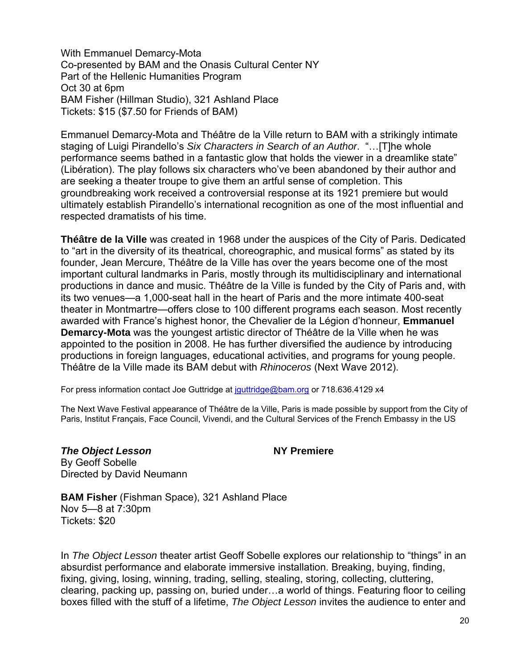With Emmanuel Demarcy-Mota Co-presented by BAM and the Onasis Cultural Center NY Part of the Hellenic Humanities Program Oct 30 at 6pm BAM Fisher (Hillman Studio), 321 Ashland Place Tickets: \$15 (\$7.50 for Friends of BAM)

Emmanuel Demarcy-Mota and Théâtre de la Ville return to BAM with a strikingly intimate staging of Luigi Pirandello's *Six Characters in Search of an Author*. "…[T]he whole performance seems bathed in a fantastic glow that holds the viewer in a dreamlike state" (Libération). The play follows six characters who've been abandoned by their author and are seeking a theater troupe to give them an artful sense of completion. This groundbreaking work received a controversial response at its 1921 premiere but would ultimately establish Pirandello's international recognition as one of the most influential and respected dramatists of his time.

**Théâtre de la Ville** was created in 1968 under the auspices of the City of Paris. Dedicated to "art in the diversity of its theatrical, choreographic, and musical forms" as stated by its founder, Jean Mercure, Théâtre de la Ville has over the years become one of the most important cultural landmarks in Paris, mostly through its multidisciplinary and international productions in dance and music. Théâtre de la Ville is funded by the City of Paris and, with its two venues—a 1,000-seat hall in the heart of Paris and the more intimate 400-seat theater in Montmartre—offers close to 100 different programs each season. Most recently awarded with France's highest honor, the Chevalier de la Légion d'honneur, **Emmanuel Demarcy-Mota** was the youngest artistic director of Théâtre de la Ville when he was appointed to the position in 2008. He has further diversified the audience by introducing productions in foreign languages, educational activities, and programs for young people. Théâtre de la Ville made its BAM debut with *Rhinoceros* (Next Wave 2012).

For press information contact Joe Guttridge at jguttridge@bam.org or 718.636.4129 x4

The Next Wave Festival appearance of Théâtre de la Ville, Paris is made possible by support from the City of Paris, Institut Français, Face Council, Vivendi, and the Cultural Services of the French Embassy in the US

# **The Object Lesson** *NY Premiere*

By Geoff Sobelle Directed by David Neumann

**BAM Fisher** (Fishman Space), 321 Ashland Place Nov 5—8 at 7:30pm Tickets: \$20

In *The Object Lesson* theater artist Geoff Sobelle explores our relationship to "things" in an absurdist performance and elaborate immersive installation. Breaking, buying, finding, fixing, giving, losing, winning, trading, selling, stealing, storing, collecting, cluttering, clearing, packing up, passing on, buried under…a world of things. Featuring floor to ceiling boxes filled with the stuff of a lifetime, *The Object Lesson* invites the audience to enter and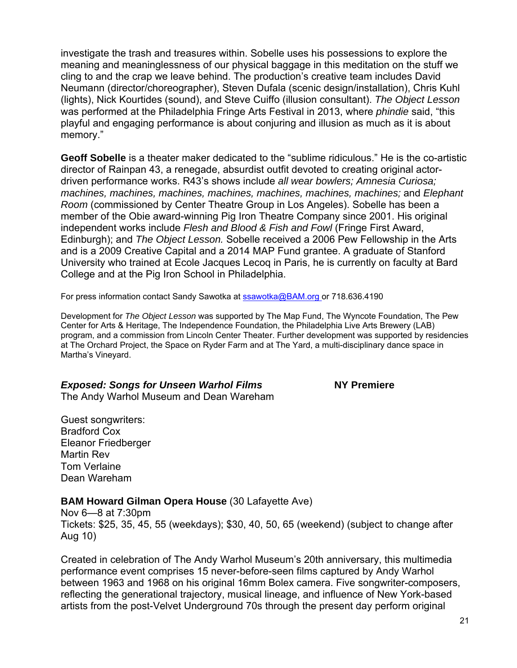investigate the trash and treasures within. Sobelle uses his possessions to explore the meaning and meaninglessness of our physical baggage in this meditation on the stuff we cling to and the crap we leave behind. The production's creative team includes David Neumann (director/choreographer), Steven Dufala (scenic design/installation), Chris Kuhl (lights), Nick Kourtides (sound), and Steve Cuiffo (illusion consultant). *The Object Lesson* was performed at the Philadelphia Fringe Arts Festival in 2013, where *phindie* said, "this playful and engaging performance is about conjuring and illusion as much as it is about memory."

**Geoff Sobelle** is a theater maker dedicated to the "sublime ridiculous." He is the co-artistic director of Rainpan 43, a renegade, absurdist outfit devoted to creating original actordriven performance works. R43's shows include *all wear bowlers; Amnesia Curiosa; machines, machines, machines, machines, machines, machines, machines;* and *Elephant Room* (commissioned by Center Theatre Group in Los Angeles). Sobelle has been a member of the Obie award-winning Pig Iron Theatre Company since 2001. His original independent works include *Flesh and Blood & Fish and Fowl* (Fringe First Award, Edinburgh); and *The Object Lesson.* Sobelle received a 2006 Pew Fellowship in the Arts and is a 2009 Creative Capital and a 2014 MAP Fund grantee. A graduate of Stanford University who trained at Ecole Jacques Lecoq in Paris, he is currently on faculty at Bard College and at the Pig Iron School in Philadelphia.

For press information contact Sandy Sawotka at **ssawotka@BAM.org** or 718.636.4190

Development for *The Object Lesson* was supported by The Map Fund, The Wyncote Foundation, The Pew Center for Arts & Heritage, The Independence Foundation, the Philadelphia Live Arts Brewery (LAB) program, and a commission from Lincoln Center Theater. Further development was supported by residencies at The Orchard Project, the Space on Ryder Farm and at The Yard, a multi-disciplinary dance space in Martha's Vineyard.

# *Exposed: Songs for Unseen Warhol Films* **NY Premiere**

The Andy Warhol Museum and Dean Wareham

Guest songwriters: Bradford Cox Eleanor Friedberger Martin Rev Tom Verlaine Dean Wareham

### **BAM Howard Gilman Opera House** (30 Lafayette Ave)

Nov 6—8 at 7:30pm Tickets: \$25, 35, 45, 55 (weekdays); \$30, 40, 50, 65 (weekend) (subject to change after Aug 10)

Created in celebration of The Andy Warhol Museum's 20th anniversary, this multimedia performance event comprises 15 never-before-seen films captured by Andy Warhol between 1963 and 1968 on his original 16mm Bolex camera. Five songwriter-composers, reflecting the generational trajectory, musical lineage, and influence of New York-based artists from the post-Velvet Underground 70s through the present day perform original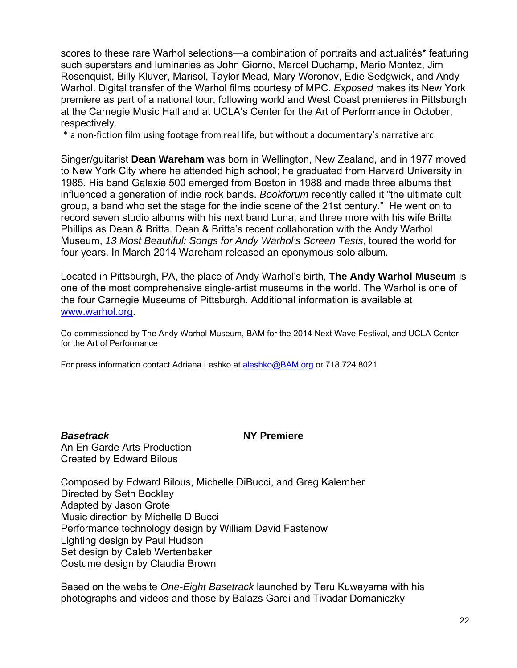scores to these rare Warhol selections—a combination of portraits and actualités\* featuring such superstars and luminaries as John Giorno, Marcel Duchamp, Mario Montez, Jim Rosenquist, Billy Kluver, Marisol, Taylor Mead, Mary Woronov, Edie Sedgwick, and Andy Warhol. Digital transfer of the Warhol films courtesy of MPC. *Exposed* makes its New York premiere as part of a national tour, following world and West Coast premieres in Pittsburgh at the Carnegie Music Hall and at UCLA's Center for the Art of Performance in October, respectively.

\* a non‐fiction film using footage from real life, but without a documentary's narrative arc

Singer/guitarist **Dean Wareham** was born in Wellington, New Zealand, and in 1977 moved to New York City where he attended high school; he graduated from Harvard University in 1985. His band Galaxie 500 emerged from Boston in 1988 and made three albums that influenced a generation of indie rock bands. *Bookforum* recently called it "the ultimate cult group, a band who set the stage for the indie scene of the 21st century." He went on to record seven studio albums with his next band Luna, and three more with his wife Britta Phillips as Dean & Britta. Dean & Britta's recent collaboration with the Andy Warhol Museum, *13 Most Beautiful: Songs for Andy Warhol's Screen Tests*, toured the world for four years. In March 2014 Wareham released an eponymous solo album*.*

Located in Pittsburgh, PA, the place of Andy Warhol's birth, **The Andy Warhol Museum** is one of the most comprehensive single-artist museums in the world. The Warhol is one of the four Carnegie Museums of Pittsburgh. Additional information is available at www.warhol.org.

Co-commissioned by The Andy Warhol Museum, BAM for the 2014 Next Wave Festival, and UCLA Center for the Art of Performance

For press information contact Adriana Leshko at aleshko@BAM.org or 718.724.8021

*Basetrack* **NY Premiere** 

An En Garde Arts Production Created by Edward Bilous

Composed by Edward Bilous, Michelle DiBucci, and Greg Kalember Directed by Seth Bockley Adapted by Jason Grote Music direction by Michelle DiBucci Performance technology design by William David Fastenow Lighting design by Paul Hudson Set design by Caleb Wertenbaker Costume design by Claudia Brown

Based on the website *One-Eight Basetrack* launched by Teru Kuwayama with his photographs and videos and those by Balazs Gardi and Tivadar Domaniczky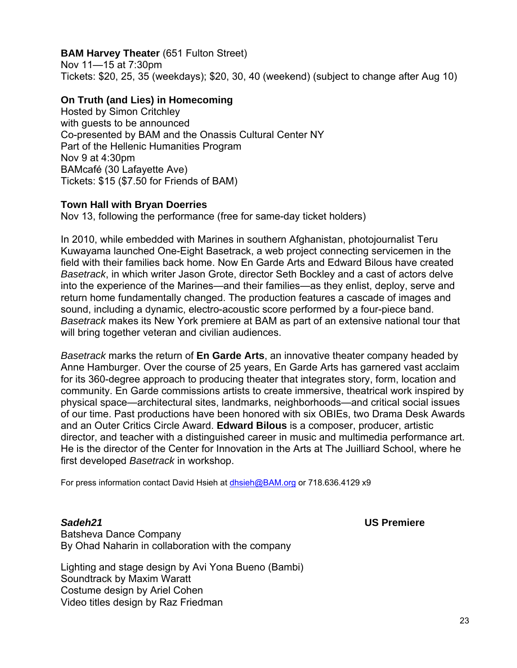### **BAM Harvey Theater** (651 Fulton Street)

Nov 11—15 at 7:30pm Tickets: \$20, 25, 35 (weekdays); \$20, 30, 40 (weekend) (subject to change after Aug 10)

#### **On Truth (and Lies) in Homecoming**

Hosted by Simon Critchley with guests to be announced Co-presented by BAM and the Onassis Cultural Center NY Part of the Hellenic Humanities Program Nov 9 at 4:30pm BAMcafé (30 Lafayette Ave) Tickets: \$15 (\$7.50 for Friends of BAM)

#### **Town Hall with Bryan Doerries**

Nov 13, following the performance (free for same-day ticket holders)

In 2010, while embedded with Marines in southern Afghanistan, photojournalist Teru Kuwayama launched One-Eight Basetrack, a web project connecting servicemen in the field with their families back home. Now En Garde Arts and Edward Bilous have created *Basetrack*, in which writer Jason Grote, director Seth Bockley and a cast of actors delve into the experience of the Marines—and their families—as they enlist, deploy, serve and return home fundamentally changed. The production features a cascade of images and sound, including a dynamic, electro-acoustic score performed by a four-piece band. *Basetrack* makes its New York premiere at BAM as part of an extensive national tour that will bring together veteran and civilian audiences.

*Basetrack* marks the return of **En Garde Arts**, an innovative theater company headed by Anne Hamburger. Over the course of 25 years, En Garde Arts has garnered vast acclaim for its 360-degree approach to producing theater that integrates story, form, location and community. En Garde commissions artists to create immersive, theatrical work inspired by physical space—architectural sites, landmarks, neighborhoods—and critical social issues of our time. Past productions have been honored with six OBIEs, two Drama Desk Awards and an Outer Critics Circle Award. **Edward Bilous** is a composer, producer, artistic director, and teacher with a distinguished career in music and multimedia performance art. He is the director of the Center for Innovation in the Arts at The Juilliard School, where he first developed *Basetrack* in workshop.

For press information contact David Hsieh at dhsieh@BAM.org or 718.636.4129 x9

*Sadeh21* **US Premiere** 

Batsheva Dance Company By Ohad Naharin in collaboration with the company

Lighting and stage design by Avi Yona Bueno (Bambi) Soundtrack by Maxim Waratt Costume design by Ariel Cohen Video titles design by Raz Friedman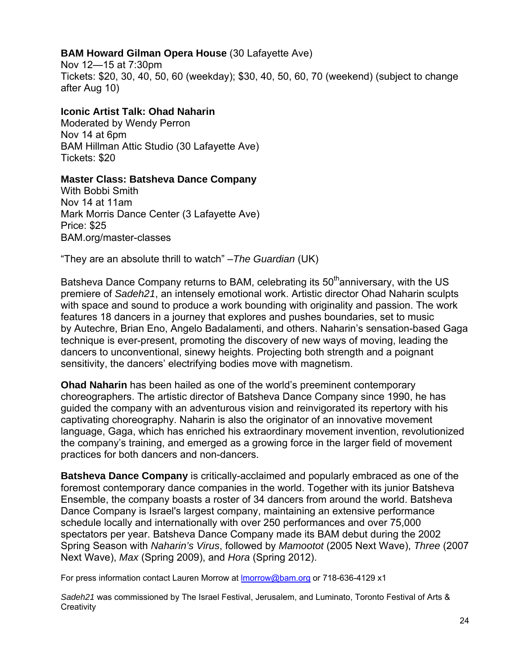# **BAM Howard Gilman Opera House** (30 Lafayette Ave)

Nov 12—15 at 7:30pm Tickets: \$20, 30, 40, 50, 60 (weekday); \$30, 40, 50, 60, 70 (weekend) (subject to change after Aug 10)

# **Iconic Artist Talk: Ohad Naharin**

Moderated by Wendy Perron Nov 14 at 6pm BAM Hillman Attic Studio (30 Lafayette Ave) Tickets: \$20

### **Master Class: Batsheva Dance Company**

With Bobbi Smith Nov 14 at 11am Mark Morris Dance Center (3 Lafayette Ave) Price: \$25 BAM.org/master-classes

"They are an absolute thrill to watch" –*The Guardian* (UK)

Batsheva Dance Company returns to BAM, celebrating its 50<sup>th</sup>anniversary, with the US premiere of *Sadeh21*, an intensely emotional work. Artistic director Ohad Naharin sculpts with space and sound to produce a work bounding with originality and passion. The work features 18 dancers in a journey that explores and pushes boundaries, set to music by Autechre, Brian Eno, Angelo Badalamenti, and others. Naharin's sensation-based Gaga technique is ever-present, promoting the discovery of new ways of moving, leading the dancers to unconventional, sinewy heights. Projecting both strength and a poignant sensitivity, the dancers' electrifying bodies move with magnetism.

**Ohad Naharin** has been hailed as one of the world's preeminent contemporary choreographers. The artistic director of Batsheva Dance Company since 1990, he has guided the company with an adventurous vision and reinvigorated its repertory with his captivating choreography. Naharin is also the originator of an innovative movement language, Gaga, which has enriched his extraordinary movement invention, revolutionized the company's training, and emerged as a growing force in the larger field of movement practices for both dancers and non-dancers.

**Batsheva Dance Company** is critically-acclaimed and popularly embraced as one of the foremost contemporary dance companies in the world. Together with its junior Batsheva Ensemble, the company boasts a roster of 34 dancers from around the world. Batsheva Dance Company is Israel's largest company, maintaining an extensive performance schedule locally and internationally with over 250 performances and over 75,000 spectators per year. Batsheva Dance Company made its BAM debut during the 2002 Spring Season with *Naharin's Virus*, followed by *Mamootot* (2005 Next Wave), *Three* (2007 Next Wave), *Max* (Spring 2009), and *Hora* (Spring 2012).

For press information contact Lauren Morrow at lmorrow@bam.org or 718-636-4129 x1

*Sadeh21* was commissioned by The Israel Festival, Jerusalem, and Luminato, Toronto Festival of Arts & **Creativity**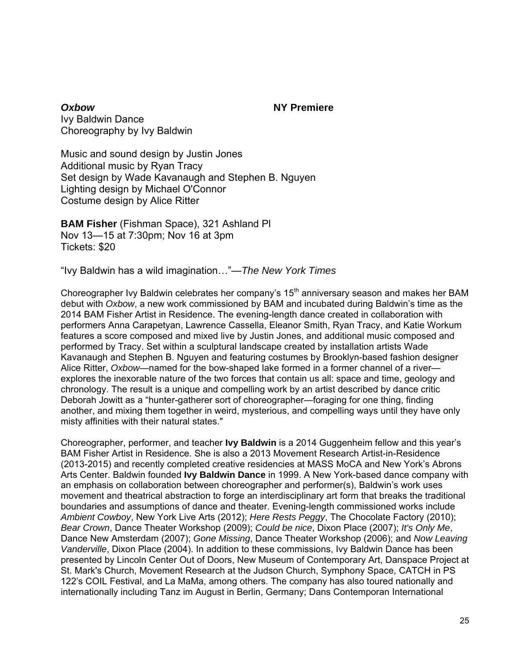*Oxbow* **NY Premiere** Ivy Baldwin Dance Choreography by Ivy Baldwin

Music and sound design by Justin Jones Additional music by Ryan Tracy Set design by Wade Kavanaugh and Stephen B. Nguyen Lighting design by Michael O'Connor Costume design by Alice Ritter

**BAM Fisher** (Fishman Space), 321 Ashland Pl Nov 13—15 at 7:30pm; Nov 16 at 3pm Tickets: \$20

"Ivy Baldwin has a wild imagination…"—*The New York Times* 

Choreographer Ivy Baldwin celebrates her company's 15<sup>th</sup> anniversary season and makes her BAM debut with *Oxbow*, a new work commissioned by BAM and incubated during Baldwin's time as the 2014 BAM Fisher Artist in Residence. The evening-length dance created in collaboration with performers Anna Carapetyan, Lawrence Cassella, Eleanor Smith, Ryan Tracy, and Katie Workum features a score composed and mixed live by Justin Jones, and additional music composed and performed by Tracy. Set within a sculptural landscape created by installation artists Wade Kavanaugh and Stephen B. Nguyen and featuring costumes by Brooklyn-based fashion designer Alice Ritter, *Oxbow*—named for the bow-shaped lake formed in a former channel of a river explores the inexorable nature of the two forces that contain us all: space and time, geology and chronology. The result is a unique and compelling work by an artist described by dance critic Deborah Jowitt as a "hunter-gatherer sort of choreographer—foraging for one thing, finding another, and mixing them together in weird, mysterious, and compelling ways until they have only misty affinities with their natural states."

Choreographer, performer, and teacher **Ivy Baldwin** is a 2014 Guggenheim fellow and this year's BAM Fisher Artist in Residence. She is also a 2013 Movement Research Artist-in-Residence (2013-2015) and recently completed creative residencies at MASS MoCA and New York's Abrons Arts Center. Baldwin founded **Ivy Baldwin Dance** in 1999. A New York-based dance company with an emphasis on collaboration between choreographer and performer(s), Baldwin's work uses movement and theatrical abstraction to forge an interdisciplinary art form that breaks the traditional boundaries and assumptions of dance and theater. Evening-length commissioned works include *Ambient Cowboy*, New York Live Arts (2012); *Here Rests Peggy*, The Chocolate Factory (2010); *Bear Crown*, Dance Theater Workshop (2009); *Could be nice*, Dixon Place (2007); *It's Only Me*, Dance New Amsterdam (2007); *Gone Missing*, Dance Theater Workshop (2006); and *Now Leaving Vanderville*, Dixon Place (2004). In addition to these commissions, Ivy Baldwin Dance has been presented by Lincoln Center Out of Doors, New Museum of Contemporary Art, Danspace Project at St. Mark's Church, Movement Research at the Judson Church, Symphony Space, CATCH in PS 122's COIL Festival, and La MaMa, among others. The company has also toured nationally and internationally including Tanz im August in Berlin, Germany; Dans Contemporan International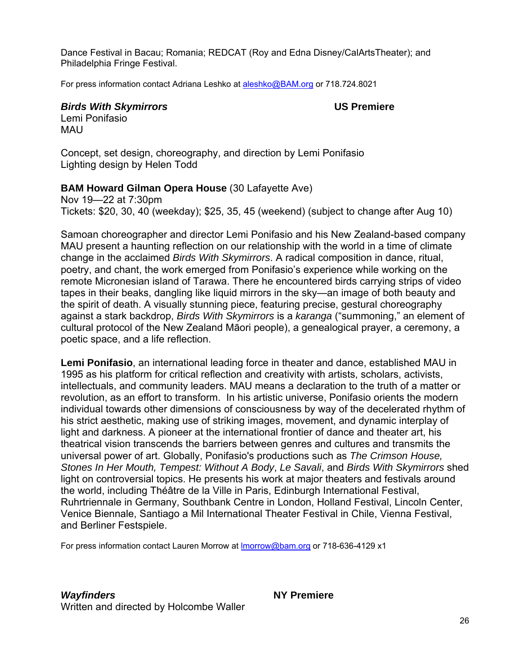Dance Festival in Bacau; Romania; REDCAT (Roy and Edna Disney/CalArtsTheater); and Philadelphia Fringe Festival.

For press information contact Adriana Leshko at aleshko@BAM.org or 718.724.8021

*Birds With Skymirrors* **US Premiere** 

Lemi Ponifasio **MAU** 

Concept, set design, choreography, and direction by Lemi Ponifasio Lighting design by Helen Todd

### **BAM Howard Gilman Opera House** (30 Lafayette Ave)

Nov 19—22 at 7:30pm Tickets: \$20, 30, 40 (weekday); \$25, 35, 45 (weekend) (subject to change after Aug 10)

Samoan choreographer and director Lemi Ponifasio and his New Zealand-based company MAU present a haunting reflection on our relationship with the world in a time of climate change in the acclaimed *Birds With Skymirrors*. A radical composition in dance, ritual, poetry, and chant, the work emerged from Ponifasio's experience while working on the remote Micronesian island of Tarawa. There he encountered birds carrying strips of video tapes in their beaks, dangling like liquid mirrors in the sky—an image of both beauty and the spirit of death. A visually stunning piece, featuring precise, gestural choreography against a stark backdrop, *Birds With Skymirrors* is a *karanga* ("summoning," an element of cultural protocol of the New Zealand Māori people), a genealogical prayer, a ceremony, a poetic space, and a life reflection.

**Lemi Ponifasio**, an international leading force in theater and dance, established MAU in 1995 as his platform for critical reflection and creativity with artists, scholars, activists, intellectuals, and community leaders. MAU means a declaration to the truth of a matter or revolution, as an effort to transform. In his artistic universe, Ponifasio orients the modern individual towards other dimensions of consciousness by way of the decelerated rhythm of his strict aesthetic, making use of striking images, movement, and dynamic interplay of light and darkness. A pioneer at the international frontier of dance and theater art, his theatrical vision transcends the barriers between genres and cultures and transmits the universal power of art. Globally, Ponifasio's productions such as *The Crimson House, Stones In Her Mouth, Tempest: Without A Body*, *Le Savali*, and *Birds With Skymirrors* shed light on controversial topics. He presents his work at major theaters and festivals around the world, including Théâtre de la Ville in Paris, Edinburgh International Festival, Ruhrtriennale in Germany, Southbank Centre in London, Holland Festival, Lincoln Center, Venice Biennale, Santiago a Mil International Theater Festival in Chile, Vienna Festival, and Berliner Festspiele.

For press information contact Lauren Morrow at **Imorrow@bam.org** or 718-636-4129 x1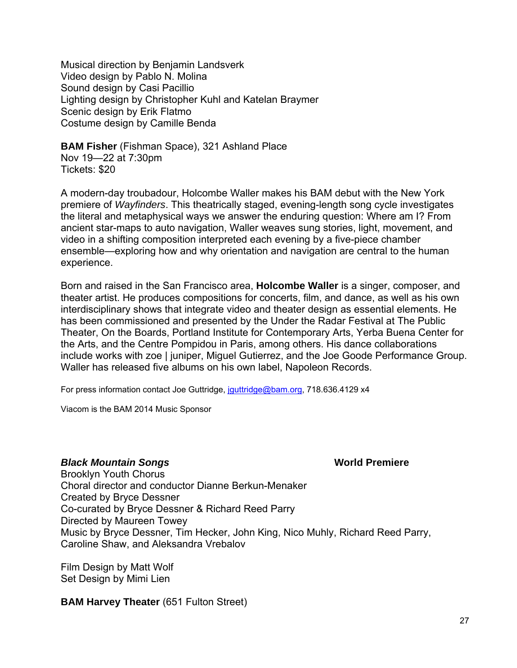Musical direction by Benjamin Landsverk Video design by Pablo N. Molina Sound design by Casi Pacillio Lighting design by Christopher Kuhl and Katelan Braymer Scenic design by Erik Flatmo Costume design by Camille Benda

**BAM Fisher** (Fishman Space), 321 Ashland Place Nov 19—22 at 7:30pm Tickets: \$20

A modern-day troubadour, Holcombe Waller makes his BAM debut with the New York premiere of *Wayfinders*. This theatrically staged, evening-length song cycle investigates the literal and metaphysical ways we answer the enduring question: Where am I? From ancient star-maps to auto navigation, Waller weaves sung stories, light, movement, and video in a shifting composition interpreted each evening by a five-piece chamber ensemble—exploring how and why orientation and navigation are central to the human experience.

Born and raised in the San Francisco area, **Holcombe Waller** is a singer, composer, and theater artist. He produces compositions for concerts, film, and dance, as well as his own interdisciplinary shows that integrate video and theater design as essential elements. He has been commissioned and presented by the Under the Radar Festival at The Public Theater, On the Boards, Portland Institute for Contemporary Arts, Yerba Buena Center for the Arts, and the Centre Pompidou in Paris, among others. His dance collaborations include works with zoe | juniper, Miguel Gutierrez, and the Joe Goode Performance Group. Waller has released five albums on his own label, Napoleon Records.

For press information contact Joe Guttridge, jouttridge@bam.org, 718.636.4129 x4

Viacom is the BAM 2014 Music Sponsor

#### *Black Mountain Songs World Premiere World Premiere*

Brooklyn Youth Chorus Choral director and conductor Dianne Berkun-Menaker Created by Bryce Dessner Co-curated by Bryce Dessner & Richard Reed Parry Directed by Maureen Towey Music by Bryce Dessner, Tim Hecker, John King, Nico Muhly, Richard Reed Parry, Caroline Shaw, and Aleksandra Vrebalov

Film Design by Matt Wolf Set Design by Mimi Lien

**BAM Harvey Theater** (651 Fulton Street)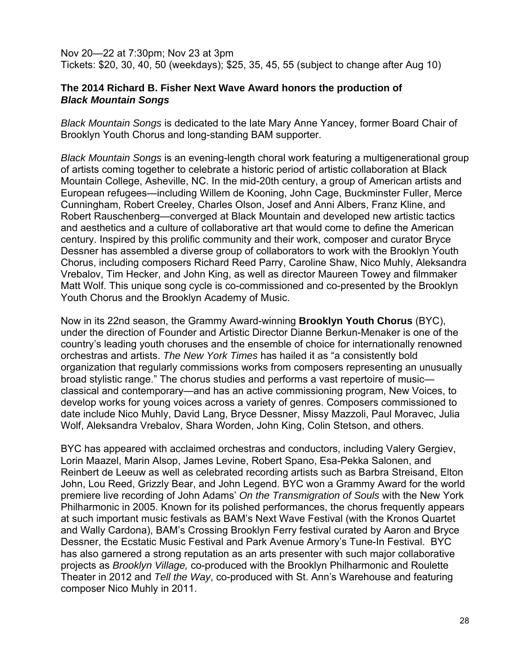Nov 20—22 at 7:30pm; Nov 23 at 3pm Tickets: \$20, 30, 40, 50 (weekdays); \$25, 35, 45, 55 (subject to change after Aug 10)

#### **The 2014 Richard B. Fisher Next Wave Award honors the production of**  *Black Mountain Songs*

*Black Mountain Songs* is dedicated to the late Mary Anne Yancey, former Board Chair of Brooklyn Youth Chorus and long-standing BAM supporter.

*Black Mountain Songs* is an evening-length choral work featuring a multigenerational group of artists coming together to celebrate a historic period of artistic collaboration at Black Mountain College, Asheville, NC. In the mid-20th century, a group of American artists and European refugees—including Willem de Kooning, John Cage, Buckminster Fuller, Merce Cunningham, Robert Creeley, Charles Olson, Josef and Anni Albers, Franz Kline, and Robert Rauschenberg—converged at Black Mountain and developed new artistic tactics and aesthetics and a culture of collaborative art that would come to define the American century. Inspired by this prolific community and their work, composer and curator Bryce Dessner has assembled a diverse group of collaborators to work with the Brooklyn Youth Chorus, including composers Richard Reed Parry, Caroline Shaw, Nico Muhly, Aleksandra Vrebalov, Tim Hecker, and John King, as well as director Maureen Towey and filmmaker Matt Wolf. This unique song cycle is co-commissioned and co-presented by the Brooklyn Youth Chorus and the Brooklyn Academy of Music.

Now in its 22nd season, the Grammy Award-winning **Brooklyn Youth Chorus** (BYC), under the direction of Founder and Artistic Director Dianne Berkun-Menaker is one of the country's leading youth choruses and the ensemble of choice for internationally renowned orchestras and artists. *The New York Times* has hailed it as "a consistently bold organization that regularly commissions works from composers representing an unusually broad stylistic range." The chorus studies and performs a vast repertoire of music classical and contemporary—and has an active commissioning program, New Voices, to develop works for young voices across a variety of genres. Composers commissioned to date include Nico Muhly, David Lang, Bryce Dessner, Missy Mazzoli, Paul Moravec, Julia Wolf, Aleksandra Vrebalov, Shara Worden, John King, Colin Stetson, and others.

BYC has appeared with acclaimed orchestras and conductors, including Valery Gergiev, Lorin Maazel, Marin Alsop, James Levine, Robert Spano, Esa-Pekka Salonen, and Reinbert de Leeuw as well as celebrated recording artists such as Barbra Streisand, Elton John, Lou Reed, Grizzly Bear, and John Legend. BYC won a Grammy Award for the world premiere live recording of John Adams' *On the Transmigration of Souls* with the New York Philharmonic in 2005. Known for its polished performances, the chorus frequently appears at such important music festivals as BAM's Next Wave Festival (with the Kronos Quartet and Wally Cardona), BAM's Crossing Brooklyn Ferry festival curated by Aaron and Bryce Dessner, the Ecstatic Music Festival and Park Avenue Armory's Tune-In Festival. BYC has also garnered a strong reputation as an arts presenter with such major collaborative projects as *Brooklyn Village,* co-produced with the Brooklyn Philharmonic and Roulette Theater in 2012 and *Tell the Way*, co-produced with St. Ann's Warehouse and featuring composer Nico Muhly in 2011.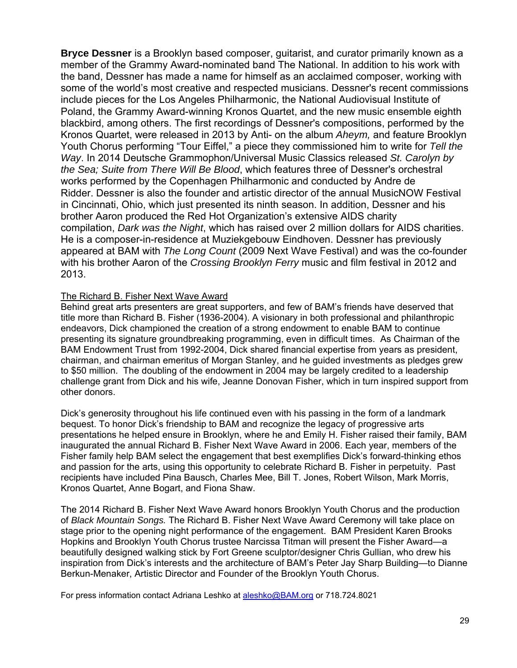**Bryce Dessner** is a Brooklyn based composer, guitarist, and curator primarily known as a member of the Grammy Award-nominated band The National. In addition to his work with the band, Dessner has made a name for himself as an acclaimed composer, working with some of the world's most creative and respected musicians. Dessner's recent commissions include pieces for the Los Angeles Philharmonic, the National Audiovisual Institute of Poland, the Grammy Award-winning Kronos Quartet, and the new music ensemble eighth blackbird, among others. The first recordings of Dessner's compositions, performed by the Kronos Quartet, were released in 2013 by Anti- on the album *Aheym,* and feature Brooklyn Youth Chorus performing "Tour Eiffel," a piece they commissioned him to write for *Tell the Way*. In 2014 Deutsche Grammophon/Universal Music Classics released *St. Carolyn by the Sea; Suite from There Will Be Blood*, which features three of Dessner's orchestral works performed by the Copenhagen Philharmonic and conducted by Andre de Ridder. Dessner is also the founder and artistic director of the annual MusicNOW Festival in Cincinnati, Ohio, which just presented its ninth season. In addition, Dessner and his brother Aaron produced the Red Hot Organization's extensive AIDS charity compilation, *Dark was the Night*, which has raised over 2 million dollars for AIDS charities. He is a composer-in-residence at Muziekgebouw Eindhoven. Dessner has previously appeared at BAM with *The Long Count* (2009 Next Wave Festival) and was the co-founder with his brother Aaron of the *Crossing Brooklyn Ferry* music and film festival in 2012 and 2013.

#### The Richard B. Fisher Next Wave Award

Behind great arts presenters are great supporters, and few of BAM's friends have deserved that title more than Richard B. Fisher (1936-2004). A visionary in both professional and philanthropic endeavors, Dick championed the creation of a strong endowment to enable BAM to continue presenting its signature groundbreaking programming, even in difficult times. As Chairman of the BAM Endowment Trust from 1992-2004, Dick shared financial expertise from years as president, chairman, and chairman emeritus of Morgan Stanley, and he guided investments as pledges grew to \$50 million. The doubling of the endowment in 2004 may be largely credited to a leadership challenge grant from Dick and his wife, Jeanne Donovan Fisher, which in turn inspired support from other donors.

Dick's generosity throughout his life continued even with his passing in the form of a landmark bequest. To honor Dick's friendship to BAM and recognize the legacy of progressive arts presentations he helped ensure in Brooklyn, where he and Emily H. Fisher raised their family, BAM inaugurated the annual Richard B. Fisher Next Wave Award in 2006. Each year, members of the Fisher family help BAM select the engagement that best exemplifies Dick's forward-thinking ethos and passion for the arts, using this opportunity to celebrate Richard B. Fisher in perpetuity. Past recipients have included Pina Bausch, Charles Mee, Bill T. Jones, Robert Wilson, Mark Morris, Kronos Quartet, Anne Bogart, and Fiona Shaw.

The 2014 Richard B. Fisher Next Wave Award honors Brooklyn Youth Chorus and the production of *Black Mountain Songs.* The Richard B. Fisher Next Wave Award Ceremony will take place on stage prior to the opening night performance of the engagement. BAM President Karen Brooks Hopkins and Brooklyn Youth Chorus trustee Narcissa Titman will present the Fisher Award—a beautifully designed walking stick by Fort Greene sculptor/designer Chris Gullian, who drew his inspiration from Dick's interests and the architecture of BAM's Peter Jay Sharp Building—to Dianne Berkun-Menaker, Artistic Director and Founder of the Brooklyn Youth Chorus.

For press information contact Adriana Leshko at aleshko@BAM.org or 718.724.8021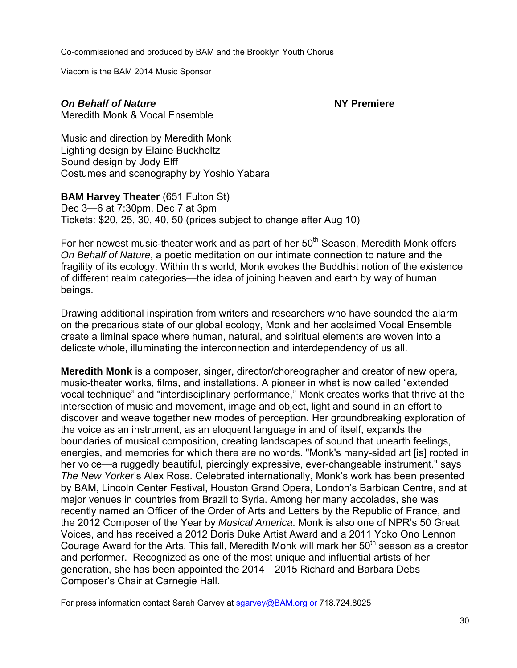Co-commissioned and produced by BAM and the Brooklyn Youth Chorus

Viacom is the BAM 2014 Music Sponsor

# **On Behalf of Nature NY Premiere NY** Premiere

Meredith Monk & Vocal Ensemble

Music and direction by Meredith Monk Lighting design by Elaine Buckholtz Sound design by Jody Elff Costumes and scenography by Yoshio Yabara

**BAM Harvey Theater (651 Fulton St)** Dec 3—6 at 7:30pm, Dec 7 at 3pm Tickets: \$20, 25, 30, 40, 50 (prices subject to change after Aug 10)

For her newest music-theater work and as part of her 50<sup>th</sup> Season, Meredith Monk offers *On Behalf of Nature*, a poetic meditation on our intimate connection to nature and the fragility of its ecology. Within this world, Monk evokes the Buddhist notion of the existence of different realm categories—the idea of joining heaven and earth by way of human beings.

Drawing additional inspiration from writers and researchers who have sounded the alarm on the precarious state of our global ecology, Monk and her acclaimed Vocal Ensemble create a liminal space where human, natural, and spiritual elements are woven into a delicate whole, illuminating the interconnection and interdependency of us all.

**Meredith Monk** is a composer, singer, director/choreographer and creator of new opera, music-theater works, films, and installations. A pioneer in what is now called "extended vocal technique" and "interdisciplinary performance," Monk creates works that thrive at the intersection of music and movement, image and object, light and sound in an effort to discover and weave together new modes of perception. Her groundbreaking exploration of the voice as an instrument, as an eloquent language in and of itself, expands the boundaries of musical composition, creating landscapes of sound that unearth feelings, energies, and memories for which there are no words. "Monk's many-sided art [is] rooted in her voice—a ruggedly beautiful, piercingly expressive, ever-changeable instrument." says *The New Yorker*'s Alex Ross. Celebrated internationally, Monk's work has been presented by BAM, Lincoln Center Festival, Houston Grand Opera, London's Barbican Centre, and at major venues in countries from Brazil to Syria. Among her many accolades, she was recently named an Officer of the Order of Arts and Letters by the Republic of France, and the 2012 Composer of the Year by *Musical America*. Monk is also one of NPR's 50 Great Voices, and has received a 2012 Doris Duke Artist Award and a 2011 Yoko Ono Lennon Courage Award for the Arts. This fall, Meredith Monk will mark her  $50<sup>th</sup>$  season as a creator and performer. Recognized as one of the most unique and influential artists of her generation, she has been appointed the 2014—2015 Richard and Barbara Debs Composer's Chair at Carnegie Hall.

For press information contact Sarah Garvey at sgarvey@BAM.org or 718.724.8025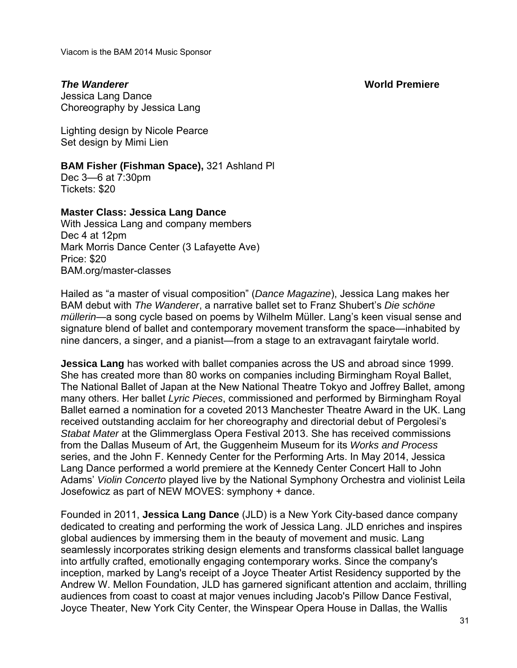#### *The Wanderer* **World Premiere**

Viacom is the BAM 2014 Music Sponsor

Jessica Lang Dance Choreography by Jessica Lang

Lighting design by Nicole Pearce Set design by Mimi Lien

#### **BAM Fisher (Fishman Space),** 321 Ashland Pl

Dec 3—6 at 7:30pm Tickets: \$20

### **Master Class: Jessica Lang Dance**

With Jessica Lang and company members Dec 4 at 12pm Mark Morris Dance Center (3 Lafayette Ave) Price: \$20 BAM.org/master-classes

Hailed as "a master of visual composition" (*Dance Magazine*), Jessica Lang makes her BAM debut with *The Wanderer*, a narrative ballet set to Franz Shubert's *Die schöne müllerin*—a song cycle based on poems by Wilhelm Müller. Lang's keen visual sense and signature blend of ballet and contemporary movement transform the space—inhabited by nine dancers, a singer, and a pianist—from a stage to an extravagant fairytale world.

**Jessica Lang** has worked with ballet companies across the US and abroad since 1999. She has created more than 80 works on companies including Birmingham Royal Ballet, The National Ballet of Japan at the New National Theatre Tokyo and Joffrey Ballet, among many others. Her ballet *Lyric Pieces*, commissioned and performed by Birmingham Royal Ballet earned a nomination for a coveted 2013 Manchester Theatre Award in the UK. Lang received outstanding acclaim for her choreography and directorial debut of Pergolesi's *Stabat Mater* at the Glimmerglass Opera Festival 2013. She has received commissions from the Dallas Museum of Art, the Guggenheim Museum for its *Works and Process* series, and the John F. Kennedy Center for the Performing Arts. In May 2014, Jessica Lang Dance performed a world premiere at the Kennedy Center Concert Hall to John Adams' *Violin Concerto* played live by the National Symphony Orchestra and violinist Leila Josefowicz as part of NEW MOVES: symphony + dance.

Founded in 2011, **Jessica Lang Dance** (JLD) is a New York City-based dance company dedicated to creating and performing the work of Jessica Lang. JLD enriches and inspires global audiences by immersing them in the beauty of movement and music. Lang seamlessly incorporates striking design elements and transforms classical ballet language into artfully crafted, emotionally engaging contemporary works. Since the company's inception, marked by Lang's receipt of a Joyce Theater Artist Residency supported by the Andrew W. Mellon Foundation, JLD has garnered significant attention and acclaim, thrilling audiences from coast to coast at major venues including Jacob's Pillow Dance Festival, Joyce Theater, New York City Center, the Winspear Opera House in Dallas, the Wallis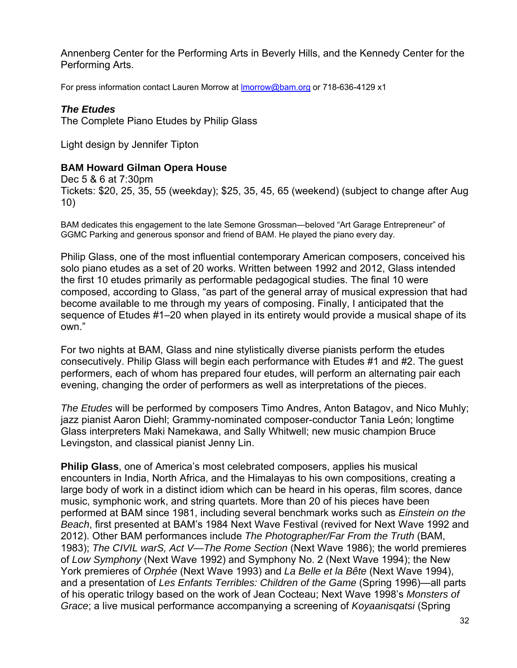Annenberg Center for the Performing Arts in Beverly Hills, and the Kennedy Center for the Performing Arts.

For press information contact Lauren Morrow at lmorrow@bam.org or 718-636-4129 x1

### *The Etudes*

The Complete Piano Etudes by Philip Glass

Light design by Jennifer Tipton

# **BAM Howard Gilman Opera House**

Dec 5 & 6 at 7:30pm Tickets: \$20, 25, 35, 55 (weekday); \$25, 35, 45, 65 (weekend) (subject to change after Aug 10)

BAM dedicates this engagement to the late Semone Grossman—beloved "Art Garage Entrepreneur" of GGMC Parking and generous sponsor and friend of BAM. He played the piano every day.

Philip Glass, one of the most influential contemporary American composers, conceived his solo piano etudes as a set of 20 works. Written between 1992 and 2012, Glass intended the first 10 etudes primarily as performable pedagogical studies. The final 10 were composed, according to Glass, "as part of the general array of musical expression that had become available to me through my years of composing. Finally, I anticipated that the sequence of Etudes #1–20 when played in its entirety would provide a musical shape of its own."

For two nights at BAM, Glass and nine stylistically diverse pianists perform the etudes consecutively. Philip Glass will begin each performance with Etudes #1 and #2. The guest performers, each of whom has prepared four etudes, will perform an alternating pair each evening, changing the order of performers as well as interpretations of the pieces.

*The Etudes* will be performed by composers Timo Andres, Anton Batagov, and Nico Muhly; jazz pianist Aaron Diehl; Grammy-nominated composer-conductor Tania León; longtime Glass interpreters Maki Namekawa, and Sally Whitwell; new music champion Bruce Levingston, and classical pianist Jenny Lin.

**Philip Glass**, one of America's most celebrated composers, applies his musical encounters in India, North Africa, and the Himalayas to his own compositions, creating a large body of work in a distinct idiom which can be heard in his operas, film scores, dance music, symphonic work, and string quartets. More than 20 of his pieces have been performed at BAM since 1981, including several benchmark works such as *Einstein on the Beach*, first presented at BAM's 1984 Next Wave Festival (revived for Next Wave 1992 and 2012). Other BAM performances include *The Photographer/Far From the Truth* (BAM, 1983); *The CIVIL warS, Act V—The Rome Section* (Next Wave 1986); the world premieres of *Low Symphony* (Next Wave 1992) and Symphony No. 2 (Next Wave 1994); the New York premieres of *Orphée* (Next Wave 1993) and *La Belle et la Bête* (Next Wave 1994), and a presentation of *Les Enfants Terribles: Children of the Game* (Spring 1996)—all parts of his operatic trilogy based on the work of Jean Cocteau; Next Wave 1998's *Monsters of Grace*; a live musical performance accompanying a screening of *Koyaanisqatsi* (Spring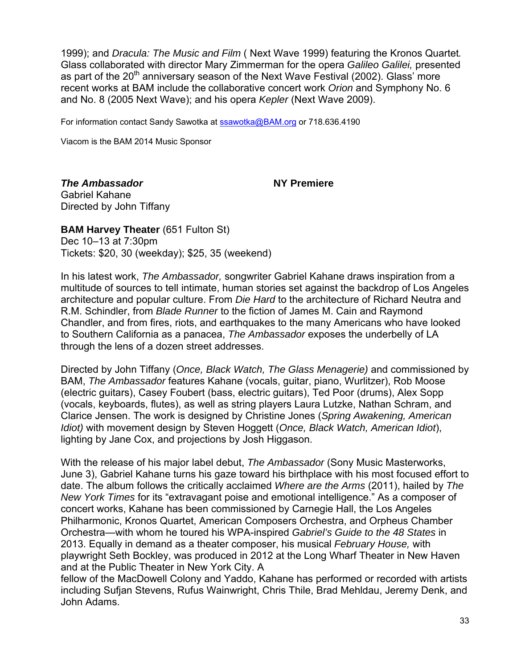1999); and *Dracula: The Music and Film* ( Next Wave 1999) featuring the Kronos Quartet*.*  Glass collaborated with director Mary Zimmerman for the opera *Galileo Galilei,* presented as part of the  $20<sup>th</sup>$  anniversary season of the Next Wave Festival (2002). Glass' more recent works at BAM include the collaborative concert work *Orion* and Symphony No. 6 and No. 8 (2005 Next Wave); and his opera *Kepler* (Next Wave 2009).

For information contact Sandy Sawotka at ssawotka@BAM.org or 718.636.4190

Viacom is the BAM 2014 Music Sponsor

*The Ambassador* **NY Premiere** 

Gabriel Kahane Directed by John Tiffany

**BAM Harvey Theater (651 Fulton St)** Dec 10–13 at 7:30pm Tickets: \$20, 30 (weekday); \$25, 35 (weekend)

In his latest work, *The Ambassador,* songwriter Gabriel Kahane draws inspiration from a multitude of sources to tell intimate, human stories set against the backdrop of Los Angeles architecture and popular culture. From *Die Hard* to the architecture of Richard Neutra and R.M. Schindler, from *Blade Runner* to the fiction of James M. Cain and Raymond Chandler, and from fires, riots, and earthquakes to the many Americans who have looked to Southern California as a panacea, *The Ambassador* exposes the underbelly of LA through the lens of a dozen street addresses.

Directed by John Tiffany (*Once, Black Watch, The Glass Menagerie)* and commissioned by BAM, *The Ambassador* features Kahane (vocals, guitar, piano, Wurlitzer), Rob Moose (electric guitars), Casey Foubert (bass, electric guitars), Ted Poor (drums), Alex Sopp (vocals, keyboards, flutes), as well as string players Laura Lutzke, Nathan Schram, and Clarice Jensen. The work is designed by Christine Jones (*Spring Awakening, American Idiot)* with movement design by Steven Hoggett (*Once, Black Watch, American Idiot*), lighting by Jane Cox, and projections by Josh Higgason.

With the release of his major label debut, *The Ambassador* (Sony Music Masterworks, June 3), Gabriel Kahane turns his gaze toward his birthplace with his most focused effort to date. The album follows the critically acclaimed *Where are the Arms* (2011), hailed by *The New York Times* for its "extravagant poise and emotional intelligence." As a composer of concert works, Kahane has been commissioned by Carnegie Hall, the Los Angeles Philharmonic, Kronos Quartet, American Composers Orchestra, and Orpheus Chamber Orchestra—with whom he toured his WPA-inspired *Gabriel's Guide to the 48 States* in 2013. Equally in demand as a theater composer, his musical *February House,* with playwright Seth Bockley, was produced in 2012 at the Long Wharf Theater in New Haven and at the Public Theater in New York City. A

fellow of the MacDowell Colony and Yaddo, Kahane has performed or recorded with artists including Sufjan Stevens, Rufus Wainwright, Chris Thile, Brad Mehldau, Jeremy Denk, and John Adams.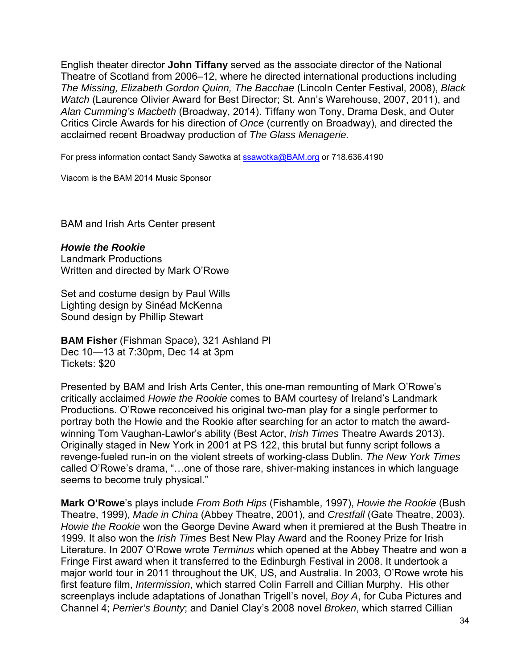English theater director **John Tiffany** served as the associate director of the National Theatre of Scotland from 2006–12, where he directed international productions including *The Missing, Elizabeth Gordon Quinn, The Bacchae* (Lincoln Center Festival, 2008), *Black Watch* (Laurence Olivier Award for Best Director; St. Ann's Warehouse, 2007, 2011), and *Alan Cumming's Macbeth* (Broadway, 2014). Tiffany won Tony, Drama Desk, and Outer Critics Circle Awards for his direction of *Once* (currently on Broadway), and directed the acclaimed recent Broadway production of *The Glass Menagerie.* 

For press information contact Sandy Sawotka at **ssawotka@BAM.org** or 718.636.4190

Viacom is the BAM 2014 Music Sponsor

BAM and Irish Arts Center present

#### *Howie the Rookie*

Landmark Productions Written and directed by Mark O'Rowe

Set and costume design by Paul Wills Lighting design by Sinéad McKenna Sound design by Phillip Stewart

**BAM Fisher** (Fishman Space), 321 Ashland Pl Dec 10—13 at 7:30pm, Dec 14 at 3pm Tickets: \$20

Presented by BAM and Irish Arts Center, this one-man remounting of Mark O'Rowe's critically acclaimed *Howie the Rookie* comes to BAM courtesy of Ireland's Landmark Productions. O'Rowe reconceived his original two-man play for a single performer to portray both the Howie and the Rookie after searching for an actor to match the awardwinning Tom Vaughan-Lawlor's ability (Best Actor, *Irish Times* Theatre Awards 2013). Originally staged in New York in 2001 at PS 122, this brutal but funny script follows a revenge-fueled run-in on the violent streets of working-class Dublin. *The New York Times* called O'Rowe's drama, "…one of those rare, shiver-making instances in which language seems to become truly physical."

**Mark O'Rowe**'s plays include *From Both Hips* (Fishamble, 1997), *Howie the Rookie* (Bush Theatre, 1999), *Made in China* (Abbey Theatre, 2001), and *Crestfall* (Gate Theatre, 2003). *Howie the Rookie* won the George Devine Award when it premiered at the Bush Theatre in 1999. It also won the *Irish Times* Best New Play Award and the Rooney Prize for Irish Literature. In 2007 O'Rowe wrote *Terminus* which opened at the Abbey Theatre and won a Fringe First award when it transferred to the Edinburgh Festival in 2008. It undertook a major world tour in 2011 throughout the UK, US, and Australia. In 2003, O'Rowe wrote his first feature film, *Intermission*, which starred Colin Farrell and Cillian Murphy. His other screenplays include adaptations of Jonathan Trigell's novel, *Boy A*, for Cuba Pictures and Channel 4; *Perrier's Bounty*; and Daniel Clay's 2008 novel *Broken*, which starred Cillian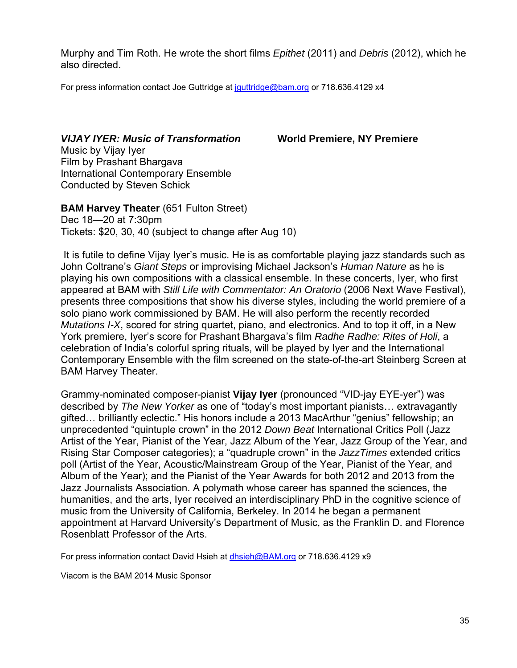Murphy and Tim Roth. He wrote the short films *Epithet* (2011) and *Debris* (2012), which he also directed.

For press information contact Joe Guttridge at jguttridge@bam.org or 718.636.4129 x4

*VIJAY IYER: Music of Transformation* **World Premiere, NY Premiere**  Music by Vijay Iyer Film by Prashant Bhargava International Contemporary Ensemble Conducted by Steven Schick

**BAM Harvey Theater** (651 Fulton Street) Dec 18—20 at 7:30pm Tickets: \$20, 30, 40 (subject to change after Aug 10)

 It is futile to define Vijay Iyer's music. He is as comfortable playing jazz standards such as John Coltrane's *Giant Steps* or improvising Michael Jackson's *Human Nature* as he is playing his own compositions with a classical ensemble. In these concerts, Iyer, who first appeared at BAM with *Still Life with Commentator: An Oratorio* (2006 Next Wave Festival), presents three compositions that show his diverse styles, including the world premiere of a solo piano work commissioned by BAM. He will also perform the recently recorded *Mutations I-X*, scored for string quartet, piano, and electronics. And to top it off, in a New York premiere, Iyer's score for Prashant Bhargava's film *Radhe Radhe: Rites of Holi*, a celebration of India's colorful spring rituals, will be played by Iyer and the International Contemporary Ensemble with the film screened on the state-of-the-art Steinberg Screen at BAM Harvey Theater.

Grammy-nominated composer-pianist **Vijay Iyer** (pronounced "VID-jay EYE-yer") was described by *The New Yorker* as one of "today's most important pianists… extravagantly gifted… brilliantly eclectic." His honors include a 2013 MacArthur "genius" fellowship; an unprecedented "quintuple crown" in the 2012 *Down Beat* International Critics Poll (Jazz Artist of the Year, Pianist of the Year, Jazz Album of the Year, Jazz Group of the Year, and Rising Star Composer categories); a "quadruple crown" in the *JazzTimes* extended critics poll (Artist of the Year, Acoustic/Mainstream Group of the Year, Pianist of the Year, and Album of the Year); and the Pianist of the Year Awards for both 2012 and 2013 from the Jazz Journalists Association. A polymath whose career has spanned the sciences, the humanities, and the arts, Iyer received an interdisciplinary PhD in the cognitive science of music from the University of California, Berkeley. In 2014 he began a permanent appointment at Harvard University's Department of Music, as the Franklin D. and Florence Rosenblatt Professor of the Arts.

For press information contact David Hsieh at dhsieh@BAM.org or 718.636.4129 x9

Viacom is the BAM 2014 Music Sponsor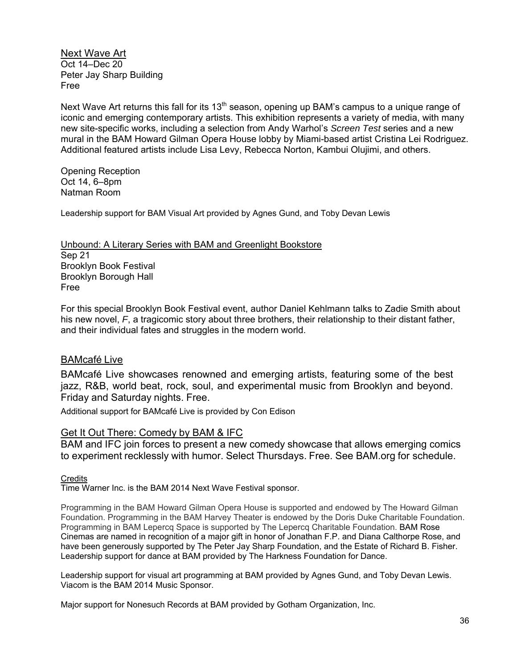Next Wave Art Oct 14–Dec 20 Peter Jay Sharp Building Free

Next Wave Art returns this fall for its  $13<sup>th</sup>$  season, opening up BAM's campus to a unique range of iconic and emerging contemporary artists. This exhibition represents a variety of media, with many new site-specific works, including a selection from Andy Warhol's *Screen Test* series and a new mural in the BAM Howard Gilman Opera House lobby by Miami-based artist Cristina Lei Rodriguez. Additional featured artists include Lisa Levy, Rebecca Norton, Kambui Olujimi, and others.

Opening Reception Oct 14, 6–8pm Natman Room

Leadership support for BAM Visual Art provided by Agnes Gund, and Toby Devan Lewis

Unbound: A Literary Series with BAM and Greenlight Bookstore Sep 21 Brooklyn Book Festival Brooklyn Borough Hall Free

For this special Brooklyn Book Festival event, author Daniel Kehlmann talks to Zadie Smith about his new novel, *F*, a tragicomic story about three brothers, their relationship to their distant father, and their individual fates and struggles in the modern world.

#### BAMcafé Live

BAMcafé Live showcases renowned and emerging artists, featuring some of the best jazz, R&B, world beat, rock, soul, and experimental music from Brooklyn and beyond. Friday and Saturday nights. Free.

Additional support for BAMcafé Live is provided by Con Edison

#### Get It Out There: Comedy by BAM & IFC

BAM and IFC join forces to present a new comedy showcase that allows emerging comics to experiment recklessly with humor. Select Thursdays. Free. See BAM.org for schedule.

#### **Credits**

Time Warner Inc. is the BAM 2014 Next Wave Festival sponsor.

Programming in the BAM Howard Gilman Opera House is supported and endowed by The Howard Gilman Foundation. Programming in the BAM Harvey Theater is endowed by the Doris Duke Charitable Foundation. Programming in BAM Lepercq Space is supported by The Lepercq Charitable Foundation. BAM Rose Cinemas are named in recognition of a major gift in honor of Jonathan F.P. and Diana Calthorpe Rose, and have been generously supported by The Peter Jay Sharp Foundation, and the Estate of Richard B. Fisher. Leadership support for dance at BAM provided by The Harkness Foundation for Dance.

Leadership support for visual art programming at BAM provided by Agnes Gund, and Toby Devan Lewis. Viacom is the BAM 2014 Music Sponsor.

Major support for Nonesuch Records at BAM provided by Gotham Organization, Inc.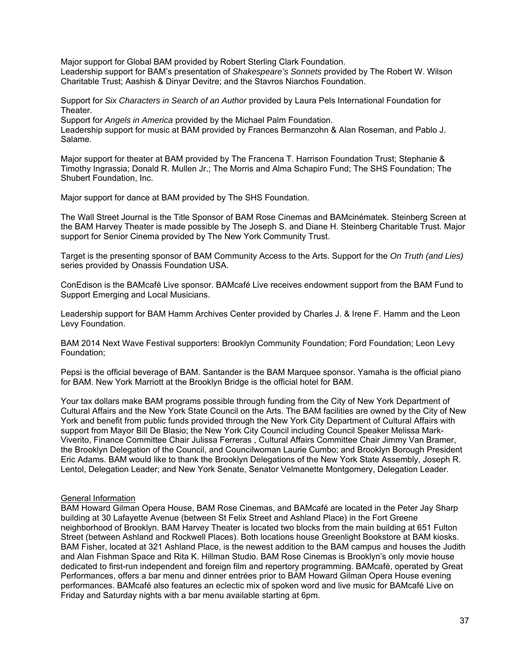Major support for Global BAM provided by Robert Sterling Clark Foundation. Leadership support for BAM's presentation of *Shakespeare's Sonnets* provided by The Robert W. Wilson Charitable Trust; Aashish & Dinyar Devitre; and the Stavros Niarchos Foundation.

Support for *Six Characters in Search of an Author* provided by Laura Pels International Foundation for Theater.

Support for *Angels in America* provided by the Michael Palm Foundation.

Leadership support for music at BAM provided by Frances Bermanzohn & Alan Roseman, and Pablo J. Salame.

Major support for theater at BAM provided by The Francena T. Harrison Foundation Trust; Stephanie & Timothy Ingrassia; Donald R. Mullen Jr.; The Morris and Alma Schapiro Fund; The SHS Foundation; The Shubert Foundation, Inc.

Major support for dance at BAM provided by The SHS Foundation.

The Wall Street Journal is the Title Sponsor of BAM Rose Cinemas and BAMcinématek. Steinberg Screen at the BAM Harvey Theater is made possible by The Joseph S. and Diane H. Steinberg Charitable Trust. Major support for Senior Cinema provided by The New York Community Trust.

Target is the presenting sponsor of BAM Community Access to the Arts. Support for the *On Truth (and Lies)* series provided by Onassis Foundation USA.

ConEdison is the BAMcafé Live sponsor. BAMcafé Live receives endowment support from the BAM Fund to Support Emerging and Local Musicians.

Leadership support for BAM Hamm Archives Center provided by Charles J. & Irene F. Hamm and the Leon Levy Foundation.

BAM 2014 Next Wave Festival supporters: Brooklyn Community Foundation; Ford Foundation; Leon Levy Foundation;

Pepsi is the official beverage of BAM. Santander is the BAM Marquee sponsor. Yamaha is the official piano for BAM. New York Marriott at the Brooklyn Bridge is the official hotel for BAM.

Your tax dollars make BAM programs possible through funding from the City of New York Department of Cultural Affairs and the New York State Council on the Arts. The BAM facilities are owned by the City of New York and benefit from public funds provided through the New York City Department of Cultural Affairs with support from Mayor Bill De Blasio; the New York City Council including Council Speaker Melissa Mark-Viverito, Finance Committee Chair Julissa Ferreras , Cultural Affairs Committee Chair Jimmy Van Bramer, the Brooklyn Delegation of the Council, and Councilwoman Laurie Cumbo; and Brooklyn Borough President Eric Adams. BAM would like to thank the Brooklyn Delegations of the New York State Assembly, Joseph R. Lentol, Delegation Leader; and New York Senate, Senator Velmanette Montgomery, Delegation Leader.

#### General Information

BAM Howard Gilman Opera House, BAM Rose Cinemas, and BAMcafé are located in the Peter Jay Sharp building at 30 Lafayette Avenue (between St Felix Street and Ashland Place) in the Fort Greene neighborhood of Brooklyn. BAM Harvey Theater is located two blocks from the main building at 651 Fulton Street (between Ashland and Rockwell Places). Both locations house Greenlight Bookstore at BAM kiosks. BAM Fisher, located at 321 Ashland Place, is the newest addition to the BAM campus and houses the Judith and Alan Fishman Space and Rita K. Hillman Studio. BAM Rose Cinemas is Brooklyn's only movie house dedicated to first-run independent and foreign film and repertory programming. BAMcafé, operated by Great Performances, offers a bar menu and dinner entrées prior to BAM Howard Gilman Opera House evening performances. BAMcafé also features an eclectic mix of spoken word and live music for BAMcafé Live on Friday and Saturday nights with a bar menu available starting at 6pm.